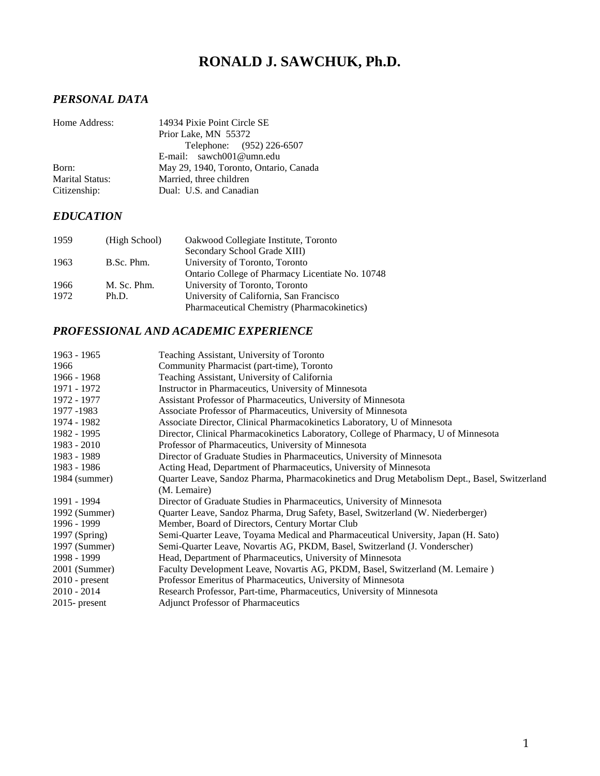# **RONALD J. SAWCHUK, Ph.D.**

## *PERSONAL DATA*

| Home Address:          | 14934 Pixie Point Circle SE            |
|------------------------|----------------------------------------|
|                        | Prior Lake, MN 55372                   |
|                        | Telephone: (952) 226-6507              |
|                        | E-mail: sawch001@umn.edu               |
| Born:                  | May 29, 1940, Toronto, Ontario, Canada |
| <b>Marital Status:</b> | Married, three children                |
| Citizenship:           | Dual: U.S. and Canadian                |

## *EDUCATION*

| 1959 | (High School) | Oakwood Collegiate Institute, Toronto            |
|------|---------------|--------------------------------------------------|
|      |               | Secondary School Grade XIII)                     |
| 1963 | B.Sc. Phm.    | University of Toronto, Toronto                   |
|      |               | Ontario College of Pharmacy Licentiate No. 10748 |
| 1966 | M. Sc. Phm.   | University of Toronto, Toronto                   |
| 1972 | Ph.D.         | University of California, San Francisco          |
|      |               | Pharmaceutical Chemistry (Pharmacokinetics)      |

## *PROFESSIONAL AND ACADEMIC EXPERIENCE*

| 1963 - 1965      | Teaching Assistant, University of Toronto                                                    |
|------------------|----------------------------------------------------------------------------------------------|
| 1966             | Community Pharmacist (part-time), Toronto                                                    |
| 1966 - 1968      | Teaching Assistant, University of California                                                 |
| 1971 - 1972      | Instructor in Pharmaceutics, University of Minnesota                                         |
| 1972 - 1977      | Assistant Professor of Pharmaceutics, University of Minnesota                                |
| 1977 - 1983      | Associate Professor of Pharmaceutics, University of Minnesota                                |
| 1974 - 1982      | Associate Director, Clinical Pharmacokinetics Laboratory, U of Minnesota                     |
| 1982 - 1995      | Director, Clinical Pharmacokinetics Laboratory, College of Pharmacy, U of Minnesota          |
| $1983 - 2010$    | Professor of Pharmaceutics, University of Minnesota                                          |
| 1983 - 1989      | Director of Graduate Studies in Pharmaceutics, University of Minnesota                       |
| 1983 - 1986      | Acting Head, Department of Pharmaceutics, University of Minnesota                            |
| $1984$ (summer)  | Quarter Leave, Sandoz Pharma, Pharmacokinetics and Drug Metabolism Dept., Basel, Switzerland |
|                  | (M. Lemaire)                                                                                 |
| 1991 - 1994      | Director of Graduate Studies in Pharmaceutics, University of Minnesota                       |
| 1992 (Summer)    | Quarter Leave, Sandoz Pharma, Drug Safety, Basel, Switzerland (W. Niederberger)              |
| 1996 - 1999      | Member, Board of Directors, Century Mortar Club                                              |
| $1997$ (Spring)  | Semi-Quarter Leave, Toyama Medical and Pharmaceutical University, Japan (H. Sato)            |
| 1997 (Summer)    | Semi-Quarter Leave, Novartis AG, PKDM, Basel, Switzerland (J. Vonderscher)                   |
| 1998 - 1999      | Head, Department of Pharmaceutics, University of Minnesota                                   |
| 2001 (Summer)    | Faculty Development Leave, Novartis AG, PKDM, Basel, Switzerland (M. Lemaire)                |
| $2010$ - present | Professor Emeritus of Pharmaceutics, University of Minnesota                                 |
| $2010 - 2014$    | Research Professor, Part-time, Pharmaceutics, University of Minnesota                        |
| $2015$ - present | <b>Adjunct Professor of Pharmaceutics</b>                                                    |
|                  |                                                                                              |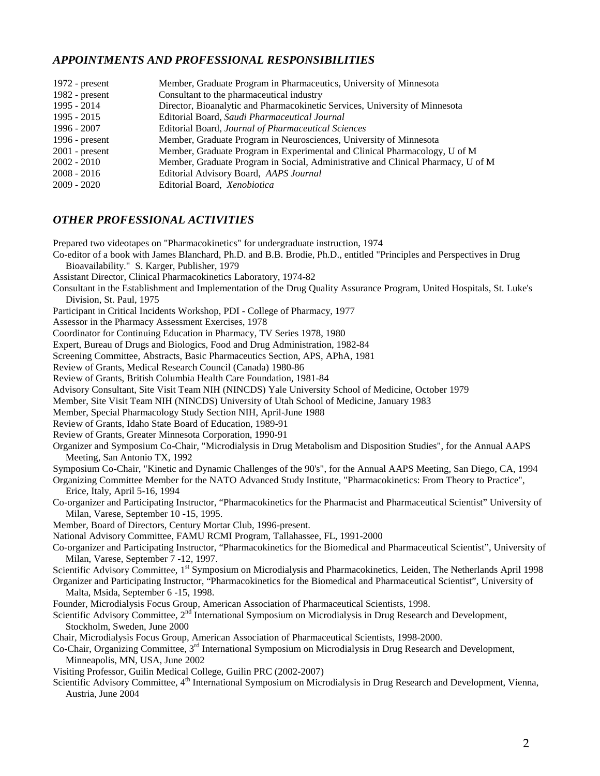### *APPOINTMENTS AND PROFESSIONAL RESPONSIBILITIES*

| Member, Graduate Program in Pharmaceutics, University of Minnesota               |
|----------------------------------------------------------------------------------|
| Consultant to the pharmaceutical industry                                        |
| Director, Bioanalytic and Pharmacokinetic Services, University of Minnesota      |
| Editorial Board, Saudi Pharmaceutical Journal                                    |
| Editorial Board, Journal of Pharmaceutical Sciences                              |
| Member, Graduate Program in Neurosciences, University of Minnesota               |
| Member, Graduate Program in Experimental and Clinical Pharmacology, U of M       |
| Member, Graduate Program in Social, Administrative and Clinical Pharmacy, U of M |
| Editorial Advisory Board, AAPS Journal                                           |
| Editorial Board, Xenobiotica                                                     |
|                                                                                  |

#### *OTHER PROFESSIONAL ACTIVITIES*

Prepared two videotapes on "Pharmacokinetics" for undergraduate instruction, 1974

- Co-editor of a book with James Blanchard, Ph.D. and B.B. Brodie, Ph.D., entitled "Principles and Perspectives in Drug Bioavailability." S. Karger, Publisher, 1979
- Assistant Director, Clinical Pharmacokinetics Laboratory, 1974-82
- Consultant in the Establishment and Implementation of the Drug Quality Assurance Program, United Hospitals, St. Luke's Division, St. Paul, 1975
- Participant in Critical Incidents Workshop, PDI College of Pharmacy, 1977
- Assessor in the Pharmacy Assessment Exercises, 1978
- Coordinator for Continuing Education in Pharmacy, TV Series 1978, 1980
- Expert, Bureau of Drugs and Biologics, Food and Drug Administration, 1982-84
- Screening Committee, Abstracts, Basic Pharmaceutics Section, APS, APhA, 1981
- Review of Grants, Medical Research Council (Canada) 1980-86
- Review of Grants, British Columbia Health Care Foundation, 1981-84
- Advisory Consultant, Site Visit Team NIH (NINCDS) Yale University School of Medicine, October 1979
- Member, Site Visit Team NIH (NINCDS) University of Utah School of Medicine, January 1983
- Member, Special Pharmacology Study Section NIH, April-June 1988
- Review of Grants, Idaho State Board of Education, 1989-91
- Review of Grants, Greater Minnesota Corporation, 1990-91
- Organizer and Symposium Co-Chair, "Microdialysis in Drug Metabolism and Disposition Studies", for the Annual AAPS Meeting, San Antonio TX, 1992
- Symposium Co-Chair, "Kinetic and Dynamic Challenges of the 90's", for the Annual AAPS Meeting, San Diego, CA, 1994
- Organizing Committee Member for the NATO Advanced Study Institute, "Pharmacokinetics: From Theory to Practice", Erice, Italy, April 5-16, 1994
- Co-organizer and Participating Instructor, "Pharmacokinetics for the Pharmacist and Pharmaceutical Scientist" University of Milan, Varese, September 10 -15, 1995.
- Member, Board of Directors, Century Mortar Club, 1996-present.
- National Advisory Committee, FAMU RCMI Program, Tallahassee, FL, 1991-2000
- Co-organizer and Participating Instructor, "Pharmacokinetics for the Biomedical and Pharmaceutical Scientist", University of Milan, Varese, September 7 -12, 1997.
- Scientific Advisory Committee, 1<sup>st</sup> Symposium on Microdialysis and Pharmacokinetics, Leiden, The Netherlands April 1998
- Organizer and Participating Instructor, "Pharmacokinetics for the Biomedical and Pharmaceutical Scientist", University of Malta, Msida, September 6 -15, 1998.
- Founder, Microdialysis Focus Group, American Association of Pharmaceutical Scientists, 1998.
- Scientific Advisory Committee, 2<sup>nd</sup> International Symposium on Microdialysis in Drug Research and Development, Stockholm, Sweden, June 2000
- Chair, Microdialysis Focus Group, American Association of Pharmaceutical Scientists, 1998-2000.
- Co-Chair, Organizing Committee, 3rd International Symposium on Microdialysis in Drug Research and Development, Minneapolis, MN, USA, June 2002
- Visiting Professor, Guilin Medical College, Guilin PRC (2002-2007)
- Scientific Advisory Committee, 4<sup>th</sup> International Symposium on Microdialysis in Drug Research and Development, Vienna, Austria, June 2004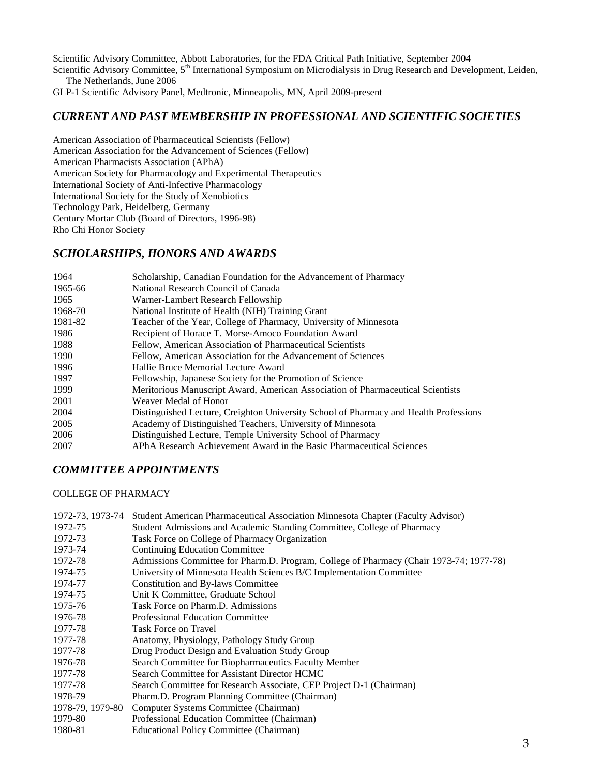Scientific Advisory Committee, Abbott Laboratories, for the FDA Critical Path Initiative, September 2004

Scientific Advisory Committee, 5<sup>th</sup> International Symposium on Microdialysis in Drug Research and Development, Leiden, The Netherlands, June 2006

GLP-1 Scientific Advisory Panel, Medtronic, Minneapolis, MN, April 2009-present

### *CURRENT AND PAST MEMBERSHIP IN PROFESSIONAL AND SCIENTIFIC SOCIETIES*

American Association of Pharmaceutical Scientists (Fellow) American Association for the Advancement of Sciences (Fellow) American Pharmacists Association (APhA) American Society for Pharmacology and Experimental Therapeutics International Society of Anti-Infective Pharmacology International Society for the Study of Xenobiotics Technology Park, Heidelberg, Germany Century Mortar Club (Board of Directors, 1996-98) Rho Chi Honor Society

#### *SCHOLARSHIPS, HONORS AND AWARDS*

| 1964    | Scholarship, Canadian Foundation for the Advancement of Pharmacy                      |
|---------|---------------------------------------------------------------------------------------|
| 1965-66 | National Research Council of Canada                                                   |
| 1965    | Warner-Lambert Research Fellowship                                                    |
| 1968-70 | National Institute of Health (NIH) Training Grant                                     |
| 1981-82 | Teacher of the Year, College of Pharmacy, University of Minnesota                     |
| 1986    | Recipient of Horace T. Morse-Amoco Foundation Award                                   |
| 1988    | Fellow, American Association of Pharmaceutical Scientists                             |
| 1990    | Fellow, American Association for the Advancement of Sciences                          |
| 1996    | Hallie Bruce Memorial Lecture Award                                                   |
| 1997    | Fellowship, Japanese Society for the Promotion of Science                             |
| 1999    | Meritorious Manuscript Award, American Association of Pharmaceutical Scientists       |
| 2001    | Weaver Medal of Honor                                                                 |
| 2004    | Distinguished Lecture, Creighton University School of Pharmacy and Health Professions |
| 2005    | Academy of Distinguished Teachers, University of Minnesota                            |
| 2006    | Distinguished Lecture, Temple University School of Pharmacy                           |
| 2007    | APhA Research Achievement Award in the Basic Pharmaceutical Sciences                  |

#### *COMMITTEE APPOINTMENTS*

#### COLLEGE OF PHARMACY

|                  | 1972-73, 1973-74 Student American Pharmaceutical Association Minnesota Chapter (Faculty Advisor) |
|------------------|--------------------------------------------------------------------------------------------------|
| 1972-75          | Student Admissions and Academic Standing Committee, College of Pharmacy                          |
| 1972-73          | Task Force on College of Pharmacy Organization                                                   |
| 1973-74          | Continuing Education Committee                                                                   |
| 1972-78          | Admissions Committee for Pharm.D. Program, College of Pharmacy (Chair 1973-74; 1977-78)          |
| 1974-75          | University of Minnesota Health Sciences B/C Implementation Committee                             |
| 1974-77          | <b>Constitution and By-laws Committee</b>                                                        |
| 1974-75          | Unit K Committee, Graduate School                                                                |
| 1975-76          | Task Force on Pharm.D. Admissions                                                                |
| 1976-78          | <b>Professional Education Committee</b>                                                          |
| 1977-78          | <b>Task Force on Travel</b>                                                                      |
| 1977-78          | Anatomy, Physiology, Pathology Study Group                                                       |
| 1977-78          | Drug Product Design and Evaluation Study Group                                                   |
| 1976-78          | Search Committee for Biopharmaceutics Faculty Member                                             |
| 1977-78          | Search Committee for Assistant Director HCMC                                                     |
| 1977-78          | Search Committee for Research Associate, CEP Project D-1 (Chairman)                              |
| 1978-79          | Pharm.D. Program Planning Committee (Chairman)                                                   |
| 1978-79, 1979-80 | Computer Systems Committee (Chairman)                                                            |
| 1979-80          | Professional Education Committee (Chairman)                                                      |
| 1980-81          | Educational Policy Committee (Chairman)                                                          |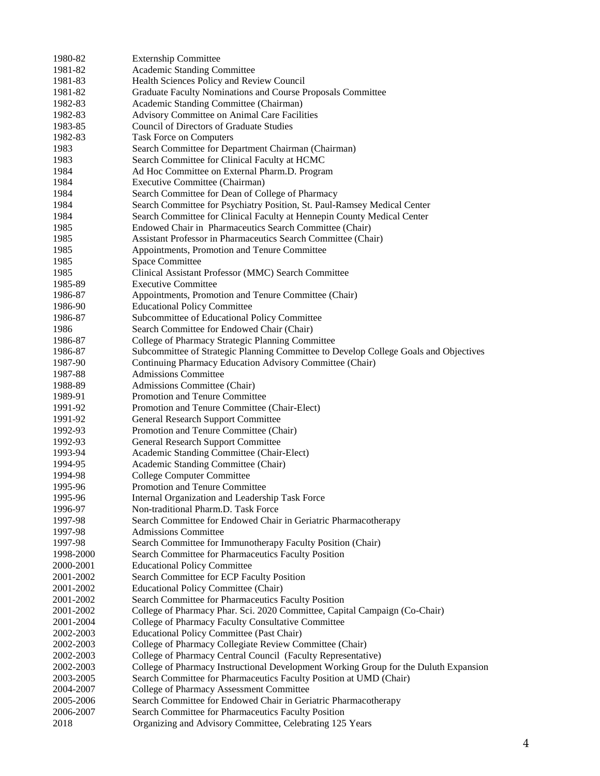| 1980-82                | <b>Externship Committee</b>                                                                                                      |
|------------------------|----------------------------------------------------------------------------------------------------------------------------------|
| 1981-82                | Academic Standing Committee                                                                                                      |
| 1981-83                | Health Sciences Policy and Review Council                                                                                        |
| 1981-82                | Graduate Faculty Nominations and Course Proposals Committee                                                                      |
| 1982-83                | Academic Standing Committee (Chairman)                                                                                           |
| 1982-83                | Advisory Committee on Animal Care Facilities                                                                                     |
| 1983-85                | <b>Council of Directors of Graduate Studies</b>                                                                                  |
| 1982-83                | Task Force on Computers                                                                                                          |
| 1983                   | Search Committee for Department Chairman (Chairman)                                                                              |
| 1983                   | Search Committee for Clinical Faculty at HCMC                                                                                    |
| 1984                   | Ad Hoc Committee on External Pharm.D. Program                                                                                    |
| 1984                   | Executive Committee (Chairman)                                                                                                   |
| 1984                   | Search Committee for Dean of College of Pharmacy                                                                                 |
| 1984                   | Search Committee for Psychiatry Position, St. Paul-Ramsey Medical Center                                                         |
| 1984                   | Search Committee for Clinical Faculty at Hennepin County Medical Center                                                          |
| 1985                   | Endowed Chair in Pharmaceutics Search Committee (Chair)                                                                          |
| 1985                   | Assistant Professor in Pharmaceutics Search Committee (Chair)                                                                    |
| 1985                   | Appointments, Promotion and Tenure Committee                                                                                     |
| 1985                   | <b>Space Committee</b>                                                                                                           |
| 1985                   | Clinical Assistant Professor (MMC) Search Committee                                                                              |
| 1985-89                | <b>Executive Committee</b>                                                                                                       |
| 1986-87                | Appointments, Promotion and Tenure Committee (Chair)                                                                             |
| 1986-90                | <b>Educational Policy Committee</b>                                                                                              |
| 1986-87                | Subcommittee of Educational Policy Committee                                                                                     |
| 1986                   | Search Committee for Endowed Chair (Chair)                                                                                       |
| 1986-87                | College of Pharmacy Strategic Planning Committee                                                                                 |
| 1986-87                | Subcommittee of Strategic Planning Committee to Develop College Goals and Objectives                                             |
| 1987-90                | Continuing Pharmacy Education Advisory Committee (Chair)                                                                         |
| 1987-88                | <b>Admissions Committee</b>                                                                                                      |
| 1988-89                | Admissions Committee (Chair)                                                                                                     |
| 1989-91                | Promotion and Tenure Committee                                                                                                   |
| 1991-92                | Promotion and Tenure Committee (Chair-Elect)                                                                                     |
| 1991-92                | <b>General Research Support Committee</b>                                                                                        |
| 1992-93                | Promotion and Tenure Committee (Chair)                                                                                           |
| 1992-93                | <b>General Research Support Committee</b>                                                                                        |
| 1993-94                | Academic Standing Committee (Chair-Elect)                                                                                        |
| 1994-95                | Academic Standing Committee (Chair)                                                                                              |
| 1994-98                | <b>College Computer Committee</b>                                                                                                |
| 1995-96                | Promotion and Tenure Committee                                                                                                   |
| 1995-96                | Internal Organization and Leadership Task Force                                                                                  |
| 1996-97                | Non-traditional Pharm.D. Task Force                                                                                              |
| 1997-98                | Search Committee for Endowed Chair in Geriatric Pharmacotherapy                                                                  |
| 1997-98                | <b>Admissions Committee</b>                                                                                                      |
| 1997-98                |                                                                                                                                  |
| 1998-2000              | Search Committee for Immunotherapy Faculty Position (Chair)                                                                      |
| 2000-2001              | Search Committee for Pharmaceutics Faculty Position                                                                              |
|                        | <b>Educational Policy Committee</b>                                                                                              |
| 2001-2002<br>2001-2002 | Search Committee for ECP Faculty Position                                                                                        |
|                        | <b>Educational Policy Committee (Chair)</b>                                                                                      |
| 2001-2002              | Search Committee for Pharmaceutics Faculty Position                                                                              |
| 2001-2002              | College of Pharmacy Phar. Sci. 2020 Committee, Capital Campaign (Co-Chair)<br>College of Pharmacy Faculty Consultative Committee |
| 2001-2004              |                                                                                                                                  |
| 2002-2003              | <b>Educational Policy Committee (Past Chair)</b>                                                                                 |
| 2002-2003              | College of Pharmacy Collegiate Review Committee (Chair)                                                                          |
| 2002-2003              | College of Pharmacy Central Council (Faculty Representative)                                                                     |
| 2002-2003              | College of Pharmacy Instructional Development Working Group for the Duluth Expansion                                             |
| 2003-2005              | Search Committee for Pharmaceutics Faculty Position at UMD (Chair)                                                               |
| 2004-2007              | College of Pharmacy Assessment Committee                                                                                         |
| 2005-2006              | Search Committee for Endowed Chair in Geriatric Pharmacotherapy                                                                  |
| 2006-2007              | Search Committee for Pharmaceutics Faculty Position                                                                              |
| 2018                   | Organizing and Advisory Committee, Celebrating 125 Years                                                                         |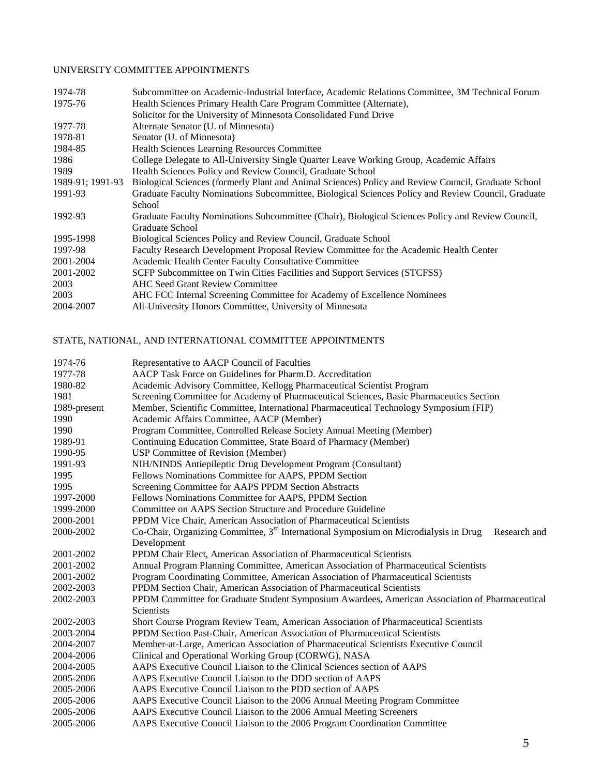#### UNIVERSITY COMMITTEE APPOINTMENTS

| 1974-78          | Subcommittee on Academic-Industrial Interface, Academic Relations Committee, 3M Technical Forum     |
|------------------|-----------------------------------------------------------------------------------------------------|
| 1975-76          | Health Sciences Primary Health Care Program Committee (Alternate),                                  |
|                  | Solicitor for the University of Minnesota Consolidated Fund Drive                                   |
| 1977-78          | Alternate Senator (U. of Minnesota)                                                                 |
| 1978-81          | Senator (U. of Minnesota)                                                                           |
| 1984-85          | Health Sciences Learning Resources Committee                                                        |
| 1986             | College Delegate to All-University Single Quarter Leave Working Group, Academic Affairs             |
| 1989             | Health Sciences Policy and Review Council, Graduate School                                          |
| 1989-91; 1991-93 | Biological Sciences (formerly Plant and Animal Sciences) Policy and Review Council, Graduate School |
| 1991-93          | Graduate Faculty Nominations Subcommittee, Biological Sciences Policy and Review Council, Graduate  |
|                  | School                                                                                              |
| 1992-93          | Graduate Faculty Nominations Subcommittee (Chair), Biological Sciences Policy and Review Council,   |
|                  | Graduate School                                                                                     |
| 1995-1998        | Biological Sciences Policy and Review Council, Graduate School                                      |
| 1997-98          | Faculty Research Development Proposal Review Committee for the Academic Health Center               |
| 2001-2004        | Academic Health Center Faculty Consultative Committee                                               |
| 2001-2002        | SCFP Subcommittee on Twin Cities Facilities and Support Services (STCFSS)                           |
| 2003             | <b>AHC Seed Grant Review Committee</b>                                                              |
| 2003             | AHC FCC Internal Screening Committee for Academy of Excellence Nominees                             |
| 2004-2007        | All-University Honors Committee, University of Minnesota                                            |
|                  |                                                                                                     |

## STATE, NATIONAL, AND INTERNATIONAL COMMITTEE APPOINTMENTS

| 1974-76      | Representative to AACP Council of Faculties                                                                         |  |
|--------------|---------------------------------------------------------------------------------------------------------------------|--|
| 1977-78      | AACP Task Force on Guidelines for Pharm.D. Accreditation                                                            |  |
| 1980-82      | Academic Advisory Committee, Kellogg Pharmaceutical Scientist Program                                               |  |
| 1981         | Screening Committee for Academy of Pharmaceutical Sciences, Basic Pharmaceutics Section                             |  |
| 1989-present | Member, Scientific Committee, International Pharmaceutical Technology Symposium (FIP)                               |  |
| 1990         | Academic Affairs Committee, AACP (Member)                                                                           |  |
| 1990         | Program Committee, Controlled Release Society Annual Meeting (Member)                                               |  |
| 1989-91      | Continuing Education Committee, State Board of Pharmacy (Member)                                                    |  |
| 1990-95      | <b>USP Committee of Revision (Member)</b>                                                                           |  |
| 1991-93      | NIH/NINDS Antiepileptic Drug Development Program (Consultant)                                                       |  |
| 1995         | Fellows Nominations Committee for AAPS, PPDM Section                                                                |  |
| 1995         | Screening Committee for AAPS PPDM Section Abstracts                                                                 |  |
| 1997-2000    | Fellows Nominations Committee for AAPS, PPDM Section                                                                |  |
| 1999-2000    | Committee on AAPS Section Structure and Procedure Guideline                                                         |  |
| 2000-2001    | PPDM Vice Chair, American Association of Pharmaceutical Scientists                                                  |  |
| 2000-2002    | Co-Chair, Organizing Committee, $3rd$ International Symposium on Microdialysis in Drug<br>Research and              |  |
|              | Development                                                                                                         |  |
| 2001-2002    | PPDM Chair Elect, American Association of Pharmaceutical Scientists                                                 |  |
| 2001-2002    | Annual Program Planning Committee, American Association of Pharmaceutical Scientists                                |  |
| 2001-2002    | Program Coordinating Committee, American Association of Pharmaceutical Scientists                                   |  |
| 2002-2003    | PPDM Section Chair, American Association of Pharmaceutical Scientists                                               |  |
| 2002-2003    | PPDM Committee for Graduate Student Symposium Awardees, American Association of Pharmaceutical<br><b>Scientists</b> |  |
| 2002-2003    | Short Course Program Review Team, American Association of Pharmaceutical Scientists                                 |  |
| 2003-2004    | PPDM Section Past-Chair, American Association of Pharmaceutical Scientists                                          |  |
| 2004-2007    | Member-at-Large, American Association of Pharmaceutical Scientists Executive Council                                |  |
| 2004-2006    | Clinical and Operational Working Group (CORWG), NASA                                                                |  |
| 2004-2005    | AAPS Executive Council Liaison to the Clinical Sciences section of AAPS                                             |  |
| 2005-2006    | AAPS Executive Council Liaison to the DDD section of AAPS                                                           |  |
| 2005-2006    | AAPS Executive Council Liaison to the PDD section of AAPS                                                           |  |
| 2005-2006    | AAPS Executive Council Liaison to the 2006 Annual Meeting Program Committee                                         |  |
| 2005-2006    | AAPS Executive Council Liaison to the 2006 Annual Meeting Screeners                                                 |  |
| 2005-2006    | AAPS Executive Council Liaison to the 2006 Program Coordination Committee                                           |  |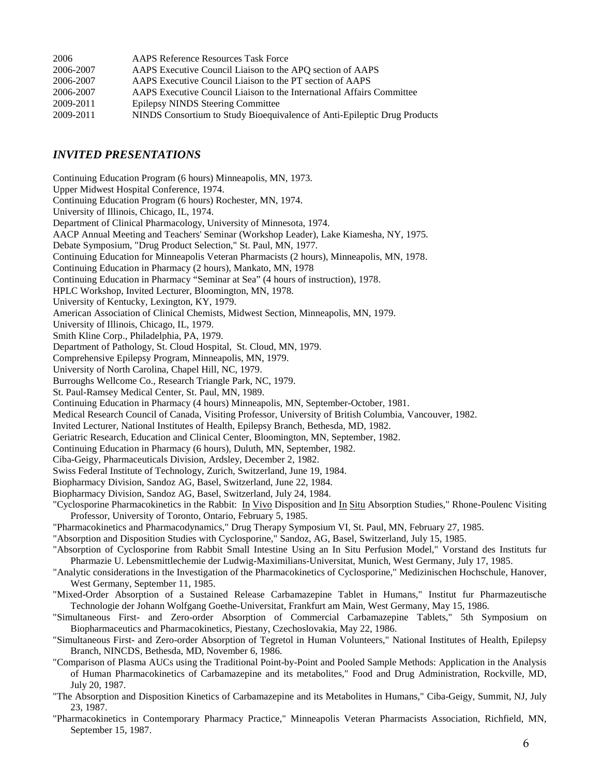| 2006      | <b>AAPS Reference Resources Task Force</b>                               |
|-----------|--------------------------------------------------------------------------|
| 2006-2007 | AAPS Executive Council Liaison to the APO section of AAPS                |
| 2006-2007 | AAPS Executive Council Liaison to the PT section of AAPS                 |
| 2006-2007 | AAPS Executive Council Liaison to the International Affairs Committee    |
| 2009-2011 | <b>Epilepsy NINDS Steering Committee</b>                                 |
| 2009-2011 | NINDS Consortium to Study Bioequivalence of Anti-Epileptic Drug Products |
|           |                                                                          |

#### *INVITED PRESENTATIONS*

Continuing Education Program (6 hours) Minneapolis, MN, 1973. Upper Midwest Hospital Conference, 1974. Continuing Education Program (6 hours) Rochester, MN, 1974. University of Illinois, Chicago, IL, 1974. Department of Clinical Pharmacology, University of Minnesota, 1974. AACP Annual Meeting and Teachers' Seminar (Workshop Leader), Lake Kiamesha, NY, 1975. Debate Symposium, "Drug Product Selection," St. Paul, MN, 1977. Continuing Education for Minneapolis Veteran Pharmacists (2 hours), Minneapolis, MN, 1978. Continuing Education in Pharmacy (2 hours), Mankato, MN, 1978 Continuing Education in Pharmacy "Seminar at Sea" (4 hours of instruction), 1978. HPLC Workshop, Invited Lecturer, Bloomington, MN, 1978. University of Kentucky, Lexington, KY, 1979. American Association of Clinical Chemists, Midwest Section, Minneapolis, MN, 1979. University of Illinois, Chicago, IL, 1979. Smith Kline Corp., Philadelphia, PA, 1979. Department of Pathology, St. Cloud Hospital, St. Cloud, MN, 1979. Comprehensive Epilepsy Program, Minneapolis, MN, 1979. University of North Carolina, Chapel Hill, NC, 1979. Burroughs Wellcome Co., Research Triangle Park, NC, 1979. St. Paul-Ramsey Medical Center, St. Paul, MN, 1989. Continuing Education in Pharmacy (4 hours) Minneapolis, MN, September-October, 1981. Medical Research Council of Canada, Visiting Professor, University of British Columbia, Vancouver, 1982. Invited Lecturer, National Institutes of Health, Epilepsy Branch, Bethesda, MD, 1982. Geriatric Research, Education and Clinical Center, Bloomington, MN, September, 1982. Continuing Education in Pharmacy (6 hours), Duluth, MN, September, 1982. Ciba-Geigy, Pharmaceuticals Division, Ardsley, December 2, 1982. Swiss Federal Institute of Technology, Zurich, Switzerland, June 19, 1984. Biopharmacy Division, Sandoz AG, Basel, Switzerland, June 22, 1984. Biopharmacy Division, Sandoz AG, Basel, Switzerland, July 24, 1984. "Cyclosporine Pharmacokinetics in the Rabbit: In Vivo Disposition and In Situ Absorption Studies," Rhone-Poulenc Visiting Professor, University of Toronto, Ontario, February 5, 1985. "Pharmacokinetics and Pharmacodynamics," Drug Therapy Symposium VI, St. Paul, MN, February 27, 1985. "Absorption and Disposition Studies with Cyclosporine," Sandoz, AG, Basel, Switzerland, July 15, 1985. "Absorption of Cyclosporine from Rabbit Small Intestine Using an In Situ Perfusion Model," Vorstand des Instituts fur Pharmazie U. Lebensmittlechemie der Ludwig-Maximilians-Universitat, Munich, West Germany, July 17, 1985. "Analytic considerations in the Investigation of the Pharmacokinetics of Cyclosporine," Medizinischen Hochschule, Hanover, West Germany, September 11, 1985. "Mixed-Order Absorption of a Sustained Release Carbamazepine Tablet in Humans," Institut fur Pharmazeutische Technologie der Johann Wolfgang Goethe-Universitat, Frankfurt am Main, West Germany, May 15, 1986. "Simultaneous First- and Zero-order Absorption of Commercial Carbamazepine Tablets," 5th Symposium on Biopharmaceutics and Pharmacokinetics, Piestany, Czechoslovakia, May 22, 1986. "Simultaneous First- and Zero-order Absorption of Tegretol in Human Volunteers," National Institutes of Health, Epilepsy Branch, NINCDS, Bethesda, MD, November 6, 1986. "Comparison of Plasma AUCs using the Traditional Point-by-Point and Pooled Sample Methods: Application in the Analysis of Human Pharmacokinetics of Carbamazepine and its metabolites," Food and Drug Administration, Rockville, MD, July 20, 1987.

- "The Absorption and Disposition Kinetics of Carbamazepine and its Metabolites in Humans," Ciba-Geigy, Summit, NJ, July 23, 1987.
- "Pharmacokinetics in Contemporary Pharmacy Practice," Minneapolis Veteran Pharmacists Association, Richfield, MN, September 15, 1987.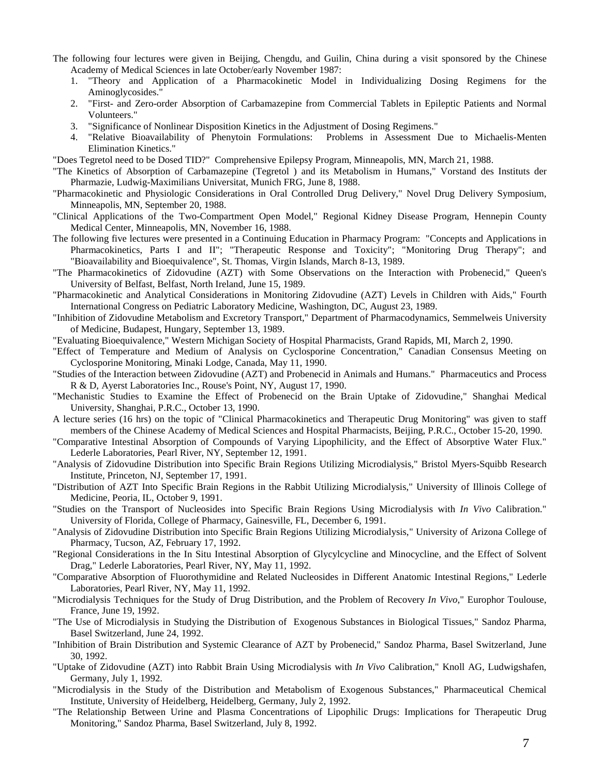- The following four lectures were given in Beijing, Chengdu, and Guilin, China during a visit sponsored by the Chinese Academy of Medical Sciences in late October/early November 1987:
	- 1. "Theory and Application of a Pharmacokinetic Model in Individualizing Dosing Regimens for the Aminoglycosides."
	- 2. "First- and Zero-order Absorption of Carbamazepine from Commercial Tablets in Epileptic Patients and Normal Volunteers."
	- 3. "Significance of Nonlinear Disposition Kinetics in the Adjustment of Dosing Regimens."
	- 4. "Relative Bioavailability of Phenytoin Formulations: Problems in Assessment Due to Michaelis-Menten Elimination Kinetics."
- "Does Tegretol need to be Dosed TID?" Comprehensive Epilepsy Program, Minneapolis, MN, March 21, 1988.
- "The Kinetics of Absorption of Carbamazepine (Tegretol ) and its Metabolism in Humans," Vorstand des Instituts der Pharmazie, Ludwig-Maximilians Universitat, Munich FRG, June 8, 1988.
- "Pharmacokinetic and Physiologic Considerations in Oral Controlled Drug Delivery," Novel Drug Delivery Symposium, Minneapolis, MN, September 20, 1988.
- "Clinical Applications of the Two-Compartment Open Model," Regional Kidney Disease Program, Hennepin County Medical Center, Minneapolis, MN, November 16, 1988.
- The following five lectures were presented in a Continuing Education in Pharmacy Program: "Concepts and Applications in Pharmacokinetics, Parts I and II"; "Therapeutic Response and Toxicity"; "Monitoring Drug Therapy"; and "Bioavailability and Bioequivalence", St. Thomas, Virgin Islands, March 8-13, 1989.
- "The Pharmacokinetics of Zidovudine (AZT) with Some Observations on the Interaction with Probenecid," Queen's University of Belfast, Belfast, North Ireland, June 15, 1989.
- "Pharmacokinetic and Analytical Considerations in Monitoring Zidovudine (AZT) Levels in Children with Aids," Fourth International Congress on Pediatric Laboratory Medicine, Washington, DC, August 23, 1989.
- "Inhibition of Zidovudine Metabolism and Excretory Transport," Department of Pharmacodynamics, Semmelweis University of Medicine, Budapest, Hungary, September 13, 1989.
- "Evaluating Bioequivalence," Western Michigan Society of Hospital Pharmacists, Grand Rapids, MI, March 2, 1990.
- "Effect of Temperature and Medium of Analysis on Cyclosporine Concentration," Canadian Consensus Meeting on Cyclosporine Monitoring, Minaki Lodge, Canada, May 11, 1990.
- "Studies of the Interaction between Zidovudine (AZT) and Probenecid in Animals and Humans." Pharmaceutics and Process R & D, Ayerst Laboratories Inc., Rouse's Point, NY, August 17, 1990.
- "Mechanistic Studies to Examine the Effect of Probenecid on the Brain Uptake of Zidovudine," Shanghai Medical University, Shanghai, P.R.C., October 13, 1990.
- A lecture series (16 hrs) on the topic of "Clinical Pharmacokinetics and Therapeutic Drug Monitoring" was given to staff members of the Chinese Academy of Medical Sciences and Hospital Pharmacists, Beijing, P.R.C., October 15-20, 1990.
- "Comparative Intestinal Absorption of Compounds of Varying Lipophilicity, and the Effect of Absorptive Water Flux." Lederle Laboratories, Pearl River, NY, September 12, 1991.
- "Analysis of Zidovudine Distribution into Specific Brain Regions Utilizing Microdialysis," Bristol Myers-Squibb Research Institute, Princeton, NJ, September 17, 1991.
- "Distribution of AZT Into Specific Brain Regions in the Rabbit Utilizing Microdialysis," University of Illinois College of Medicine, Peoria, IL, October 9, 1991.
- "Studies on the Transport of Nucleosides into Specific Brain Regions Using Microdialysis with *In Vivo* Calibration." University of Florida, College of Pharmacy, Gainesville, FL, December 6, 1991.
- "Analysis of Zidovudine Distribution into Specific Brain Regions Utilizing Microdialysis," University of Arizona College of Pharmacy, Tucson, AZ, February 17, 1992.
- "Regional Considerations in the In Situ Intestinal Absorption of Glycylcycline and Minocycline, and the Effect of Solvent Drag," Lederle Laboratories, Pearl River, NY, May 11, 1992.
- "Comparative Absorption of Fluorothymidine and Related Nucleosides in Different Anatomic Intestinal Regions," Lederle Laboratories, Pearl River, NY, May 11, 1992.
- "Microdialysis Techniques for the Study of Drug Distribution, and the Problem of Recovery *In Vivo*," Europhor Toulouse, France, June 19, 1992.
- "The Use of Microdialysis in Studying the Distribution of Exogenous Substances in Biological Tissues," Sandoz Pharma, Basel Switzerland, June 24, 1992.
- "Inhibition of Brain Distribution and Systemic Clearance of AZT by Probenecid," Sandoz Pharma, Basel Switzerland, June 30, 1992.
- "Uptake of Zidovudine (AZT) into Rabbit Brain Using Microdialysis with *In Vivo* Calibration," Knoll AG, Ludwigshafen, Germany, July 1, 1992.
- "Microdialysis in the Study of the Distribution and Metabolism of Exogenous Substances," Pharmaceutical Chemical Institute, University of Heidelberg, Heidelberg, Germany, July 2, 1992.
- "The Relationship Between Urine and Plasma Concentrations of Lipophilic Drugs: Implications for Therapeutic Drug Monitoring," Sandoz Pharma, Basel Switzerland, July 8, 1992.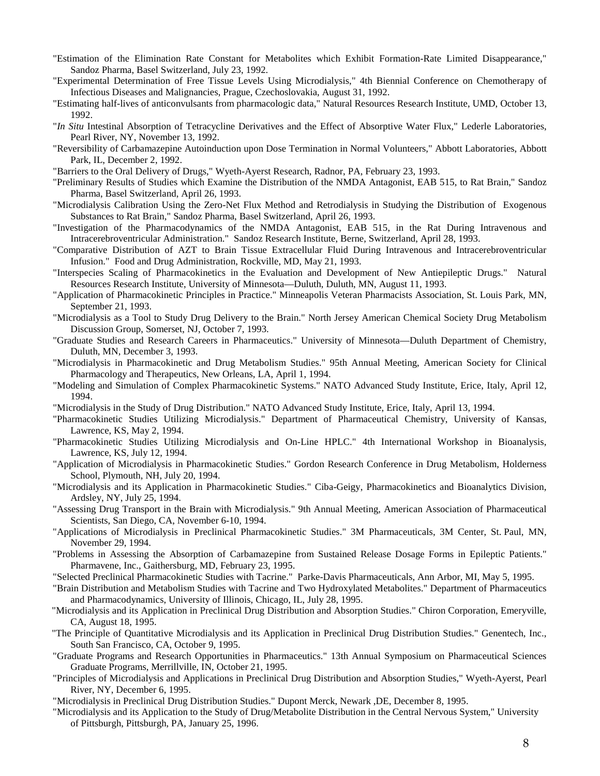- "Estimation of the Elimination Rate Constant for Metabolites which Exhibit Formation-Rate Limited Disappearance," Sandoz Pharma, Basel Switzerland, July 23, 1992.
- "Experimental Determination of Free Tissue Levels Using Microdialysis," 4th Biennial Conference on Chemotherapy of Infectious Diseases and Malignancies, Prague, Czechoslovakia, August 31, 1992.
- "Estimating half-lives of anticonvulsants from pharmacologic data," Natural Resources Research Institute, UMD, October 13, 1992.
- "*In Situ* Intestinal Absorption of Tetracycline Derivatives and the Effect of Absorptive Water Flux," Lederle Laboratories, Pearl River, NY, November 13, 1992.
- "Reversibility of Carbamazepine Autoinduction upon Dose Termination in Normal Volunteers," Abbott Laboratories, Abbott Park, IL, December 2, 1992.
- "Barriers to the Oral Delivery of Drugs," Wyeth-Ayerst Research, Radnor, PA, February 23, 1993.
- "Preliminary Results of Studies which Examine the Distribution of the NMDA Antagonist, EAB 515, to Rat Brain," Sandoz Pharma, Basel Switzerland, April 26, 1993.
- "Microdialysis Calibration Using the Zero-Net Flux Method and Retrodialysis in Studying the Distribution of Exogenous Substances to Rat Brain," Sandoz Pharma, Basel Switzerland, April 26, 1993.
- "Investigation of the Pharmacodynamics of the NMDA Antagonist, EAB 515, in the Rat During Intravenous and Intracerebroventricular Administration." Sandoz Research Institute, Berne, Switzerland, April 28, 1993.
- "Comparative Distribution of AZT to Brain Tissue Extracellular Fluid During Intravenous and Intracerebroventricular Infusion." Food and Drug Administration, Rockville, MD, May 21, 1993.
- "Interspecies Scaling of Pharmacokinetics in the Evaluation and Development of New Antiepileptic Drugs." Natural Resources Research Institute, University of Minnesota—Duluth, Duluth, MN, August 11, 1993.
- "Application of Pharmacokinetic Principles in Practice." Minneapolis Veteran Pharmacists Association, St. Louis Park, MN, September 21, 1993.
- "Microdialysis as a Tool to Study Drug Delivery to the Brain." North Jersey American Chemical Society Drug Metabolism Discussion Group, Somerset, NJ, October 7, 1993.
- "Graduate Studies and Research Careers in Pharmaceutics." University of Minnesota—Duluth Department of Chemistry, Duluth, MN, December 3, 1993.
- "Microdialysis in Pharmacokinetic and Drug Metabolism Studies." 95th Annual Meeting, American Society for Clinical Pharmacology and Therapeutics, New Orleans, LA, April 1, 1994.
- "Modeling and Simulation of Complex Pharmacokinetic Systems." NATO Advanced Study Institute, Erice, Italy, April 12, 1994.
- "Microdialysis in the Study of Drug Distribution." NATO Advanced Study Institute, Erice, Italy, April 13, 1994.
- "Pharmacokinetic Studies Utilizing Microdialysis." Department of Pharmaceutical Chemistry, University of Kansas, Lawrence, KS, May 2, 1994.
- "Pharmacokinetic Studies Utilizing Microdialysis and On-Line HPLC." 4th International Workshop in Bioanalysis, Lawrence, KS, July 12, 1994.
- "Application of Microdialysis in Pharmacokinetic Studies." Gordon Research Conference in Drug Metabolism, Holderness School, Plymouth, NH, July 20, 1994.
- "Microdialysis and its Application in Pharmacokinetic Studies." Ciba-Geigy, Pharmacokinetics and Bioanalytics Division, Ardsley, NY, July 25, 1994.
- "Assessing Drug Transport in the Brain with Microdialysis." 9th Annual Meeting, American Association of Pharmaceutical Scientists, San Diego, CA, November 6-10, 1994.
- "Applications of Microdialysis in Preclinical Pharmacokinetic Studies." 3M Pharmaceuticals, 3M Center, St. Paul, MN, November 29, 1994.
- "Problems in Assessing the Absorption of Carbamazepine from Sustained Release Dosage Forms in Epileptic Patients." Pharmavene, Inc., Gaithersburg, MD, February 23, 1995.
- "Selected Preclinical Pharmacokinetic Studies with Tacrine." Parke-Davis Pharmaceuticals, Ann Arbor, MI, May 5, 1995.
- "Brain Distribution and Metabolism Studies with Tacrine and Two Hydroxylated Metabolites." Department of Pharmaceutics and Pharmacodynamics, University of Illinois, Chicago, IL, July 28, 1995.
- "Microdialysis and its Application in Preclinical Drug Distribution and Absorption Studies." Chiron Corporation, Emeryville, CA, August 18, 1995.
- "The Principle of Quantitative Microdialysis and its Application in Preclinical Drug Distribution Studies." Genentech, Inc., South San Francisco, CA, October 9, 1995.
- "Graduate Programs and Research Opportunities in Pharmaceutics." 13th Annual Symposium on Pharmaceutical Sciences Graduate Programs, Merrillville, IN, October 21, 1995.
- "Principles of Microdialysis and Applications in Preclinical Drug Distribution and Absorption Studies," Wyeth-Ayerst, Pearl River, NY, December 6, 1995.
- "Microdialysis in Preclinical Drug Distribution Studies." Dupont Merck, Newark ,DE, December 8, 1995.
- "Microdialysis and its Application to the Study of Drug/Metabolite Distribution in the Central Nervous System," University of Pittsburgh, Pittsburgh, PA, January 25, 1996.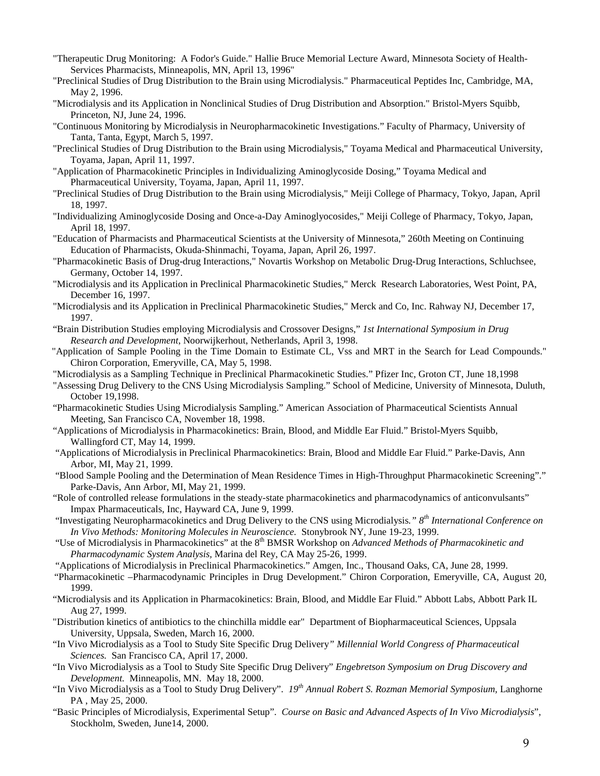- "Therapeutic Drug Monitoring: A Fodor's Guide." Hallie Bruce Memorial Lecture Award, Minnesota Society of Health-Services Pharmacists, Minneapolis, MN, April 13, 1996"
- "Preclinical Studies of Drug Distribution to the Brain using Microdialysis." Pharmaceutical Peptides Inc, Cambridge, MA, May 2, 1996.
- "Microdialysis and its Application in Nonclinical Studies of Drug Distribution and Absorption." Bristol-Myers Squibb, Princeton, NJ, June 24, 1996.
- "Continuous Monitoring by Microdialysis in Neuropharmacokinetic Investigations." Faculty of Pharmacy, University of Tanta, Tanta, Egypt, March 5, 1997.
- "Preclinical Studies of Drug Distribution to the Brain using Microdialysis," Toyama Medical and Pharmaceutical University, Toyama, Japan, April 11, 1997.
- "Application of Pharmacokinetic Principles in Individualizing Aminoglycoside Dosing," Toyama Medical and Pharmaceutical University, Toyama, Japan, April 11, 1997.
- "Preclinical Studies of Drug Distribution to the Brain using Microdialysis," Meiji College of Pharmacy, Tokyo, Japan, April 18, 1997.
- "Individualizing Aminoglycoside Dosing and Once-a-Day Aminoglyocosides," Meiji College of Pharmacy, Tokyo, Japan, April 18, 1997.
- "Education of Pharmacists and Pharmaceutical Scientists at the University of Minnesota," 260th Meeting on Continuing Education of Pharmacists, Okuda-Shinmachi, Toyama, Japan, April 26, 1997.
- "Pharmacokinetic Basis of Drug-drug Interactions," Novartis Workshop on Metabolic Drug-Drug Interactions, Schluchsee, Germany, October 14, 1997.
- "Microdialysis and its Application in Preclinical Pharmacokinetic Studies," Merck Research Laboratories, West Point, PA, December 16, 1997.
- "Microdialysis and its Application in Preclinical Pharmacokinetic Studies," Merck and Co, Inc. Rahway NJ, December 17, 1997.
- "Brain Distribution Studies employing Microdialysis and Crossover Designs," *1st International Symposium in Drug Research and Development*, Noorwijkerhout, Netherlands, April 3, 1998.
- "Application of Sample Pooling in the Time Domain to Estimate CL, Vss and MRT in the Search for Lead Compounds." Chiron Corporation, Emeryville, CA, May 5, 1998.
- "Microdialysis as a Sampling Technique in Preclinical Pharmacokinetic Studies." Pfizer Inc, Groton CT, June 18,1998
- "Assessing Drug Delivery to the CNS Using Microdialysis Sampling." School of Medicine, University of Minnesota, Duluth, October 19,1998.
- "Pharmacokinetic Studies Using Microdialysis Sampling." American Association of Pharmaceutical Scientists Annual Meeting, San Francisco CA, November 18, 1998.
- "Applications of Microdialysis in Pharmacokinetics: Brain, Blood, and Middle Ear Fluid." Bristol-Myers Squibb, Wallingford CT, May 14, 1999.
- "Applications of Microdialysis in Preclinical Pharmacokinetics: Brain, Blood and Middle Ear Fluid." Parke-Davis, Ann Arbor, MI, May 21, 1999.
- "Blood Sample Pooling and the Determination of Mean Residence Times in High-Throughput Pharmacokinetic Screening"." Parke-Davis, Ann Arbor, MI, May 21, 1999.
- "Role of controlled release formulations in the steady-state pharmacokinetics and pharmacodynamics of anticonvulsants" Impax Pharmaceuticals, Inc, Hayward CA, June 9, 1999.
- "Investigating Neuropharmacokinetics and Drug Delivery to the CNS using Microdialysis*." 8th International Conference on In Vivo Methods: Monitoring Molecules in Neuroscience.* Stonybrook NY, June 19-23, 1999.
- "Use of Microdialysis in Pharmacokinetics" at the 8<sup>th</sup> BMSR Workshop on *Advanced Methods of Pharmacokinetic and Pharmacodynamic System Analysis,* Marina del Rey, CA May 25-26, 1999.
- "Applications of Microdialysis in Preclinical Pharmacokinetics." Amgen, Inc., Thousand Oaks, CA, June 28, 1999.
- "Pharmacokinetic –Pharmacodynamic Principles in Drug Development." Chiron Corporation, Emeryville, CA, August 20, 1999.
- "Microdialysis and its Application in Pharmacokinetics: Brain, Blood, and Middle Ear Fluid." Abbott Labs, Abbott Park IL Aug 27, 1999.
- "Distribution kinetics of antibiotics to the chinchilla middle ear" Department of Biopharmaceutical Sciences, Uppsala University, Uppsala, Sweden, March 16, 2000.
- "In Vivo Microdialysis as a Tool to Study Site Specific Drug Delivery*" Millennial World Congress of Pharmaceutical Sciences.* San Francisco CA, April 17, 2000.
- "In Vivo Microdialysis as a Tool to Study Site Specific Drug Delivery" *Engebretson Symposium on Drug Discovery and Development.* Minneapolis, MN. May 18, 2000.
- "In Vivo Microdialysis as a Tool to Study Drug Delivery". *19th Annual Robert S. Rozman Memorial Symposium,* Langhorne PA , May 25, 2000.
- "Basic Principles of Microdialysis, Experimental Setup". *Course on Basic and Advanced Aspects of In Vivo Microdialysis*", Stockholm, Sweden, June14, 2000.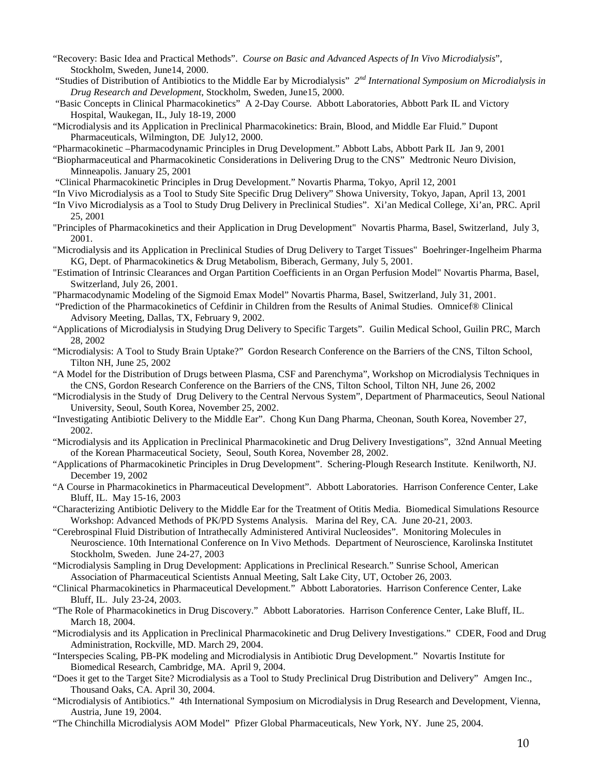- "Recovery: Basic Idea and Practical Methods". *Course on Basic and Advanced Aspects of In Vivo Microdialysis*", Stockholm, Sweden, June14, 2000.
- "Studies of Distribution of Antibiotics to the Middle Ear by Microdialysis" *2nd International Symposium on Microdialysis in Drug Research and Development*, Stockholm, Sweden, June15, 2000.
- "Basic Concepts in Clinical Pharmacokinetics" A 2-Day Course. Abbott Laboratories, Abbott Park IL and Victory Hospital, Waukegan, IL, July 18-19, 2000
- "Microdialysis and its Application in Preclinical Pharmacokinetics: Brain, Blood, and Middle Ear Fluid." Dupont Pharmaceuticals, Wilmington, DE July12, 2000.
- "Pharmacokinetic –Pharmacodynamic Principles in Drug Development." Abbott Labs, Abbott Park IL Jan 9, 2001
- "Biopharmaceutical and Pharmacokinetic Considerations in Delivering Drug to the CNS" Medtronic Neuro Division, Minneapolis. January 25, 2001
- "Clinical Pharmacokinetic Principles in Drug Development." Novartis Pharma, Tokyo, April 12, 2001
- "In Vivo Microdialysis as a Tool to Study Site Specific Drug Delivery" Showa University, Tokyo, Japan, April 13, 2001
- "In Vivo Microdialysis as a Tool to Study Drug Delivery in Preclinical Studies". Xi'an Medical College, Xi'an, PRC. April 25, 2001
- "Principles of Pharmacokinetics and their Application in Drug Development" Novartis Pharma, Basel, Switzerland, July 3, 2001.
- "Microdialysis and its Application in Preclinical Studies of Drug Delivery to Target Tissues" Boehringer-Ingelheim Pharma KG, Dept. of Pharmacokinetics & Drug Metabolism, Biberach, Germany, July 5, 2001.
- "Estimation of Intrinsic Clearances and Organ Partition Coefficients in an Organ Perfusion Model" Novartis Pharma, Basel, Switzerland, July 26, 2001.
- "Pharmacodynamic Modeling of the Sigmoid Emax Model" Novartis Pharma, Basel, Switzerland, July 31, 2001.
- "Prediction of the Pharmacokinetics of Cefdinir in Children from the Results of Animal Studies. Omnicef® Clinical Advisory Meeting, Dallas, TX, February 9, 2002.
- "Applications of Microdialysis in Studying Drug Delivery to Specific Targets". Guilin Medical School, Guilin PRC, March 28, 2002
- "Microdialysis: A Tool to Study Brain Uptake?" Gordon Research Conference on the Barriers of the CNS, Tilton School, Tilton NH, June 25, 2002
- "A Model for the Distribution of Drugs between Plasma, CSF and Parenchyma", Workshop on Microdialysis Techniques in the CNS, Gordon Research Conference on the Barriers of the CNS, Tilton School, Tilton NH, June 26, 2002
- "Microdialysis in the Study of Drug Delivery to the Central Nervous System", Department of Pharmaceutics, Seoul National University, Seoul, South Korea, November 25, 2002.
- "Investigating Antibiotic Delivery to the Middle Ear". Chong Kun Dang Pharma, Cheonan, South Korea, November 27, 2002.
- "Microdialysis and its Application in Preclinical Pharmacokinetic and Drug Delivery Investigations", 32nd Annual Meeting of the Korean Pharmaceutical Society, Seoul, South Korea, November 28, 2002.
- "Applications of Pharmacokinetic Principles in Drug Development". Schering-Plough Research Institute. Kenilworth, NJ. December 19, 2002
- "A Course in Pharmacokinetics in Pharmaceutical Development". Abbott Laboratories. Harrison Conference Center, Lake Bluff, IL. May 15-16, 2003
- "Characterizing Antibiotic Delivery to the Middle Ear for the Treatment of Otitis Media. Biomedical Simulations Resource Workshop: Advanced Methods of PK/PD Systems Analysis. Marina del Rey, CA. June 20-21, 2003.
- "Cerebrospinal Fluid Distribution of Intrathecally Administered Antiviral Nucleosides". Monitoring Molecules in Neuroscience. 10th International Conference on In Vivo Methods. Department of Neuroscience, Karolinska Institutet Stockholm, Sweden. June 24-27, 2003
- "Microdialysis Sampling in Drug Development: Applications in Preclinical Research." Sunrise School, American Association of Pharmaceutical Scientists Annual Meeting, Salt Lake City, UT, October 26, 2003.
- "Clinical Pharmacokinetics in Pharmaceutical Development." Abbott Laboratories. Harrison Conference Center, Lake Bluff, IL. July 23-24, 2003.
- "The Role of Pharmacokinetics in Drug Discovery." Abbott Laboratories. Harrison Conference Center, Lake Bluff, IL. March 18, 2004.
- "Microdialysis and its Application in Preclinical Pharmacokinetic and Drug Delivery Investigations." CDER, Food and Drug Administration, Rockville, MD. March 29, 2004.
- "Interspecies Scaling, PB-PK modeling and Microdialysis in Antibiotic Drug Development." Novartis Institute for Biomedical Research, Cambridge, MA. April 9, 2004.
- "Does it get to the Target Site? Microdialysis as a Tool to Study Preclinical Drug Distribution and Delivery" Amgen Inc., Thousand Oaks, CA. April 30, 2004.
- "Microdialysis of Antibiotics." 4th International Symposium on Microdialysis in Drug Research and Development, Vienna, Austria, June 19, 2004.
- "The Chinchilla Microdialysis AOM Model" Pfizer Global Pharmaceuticals, New York, NY. June 25, 2004.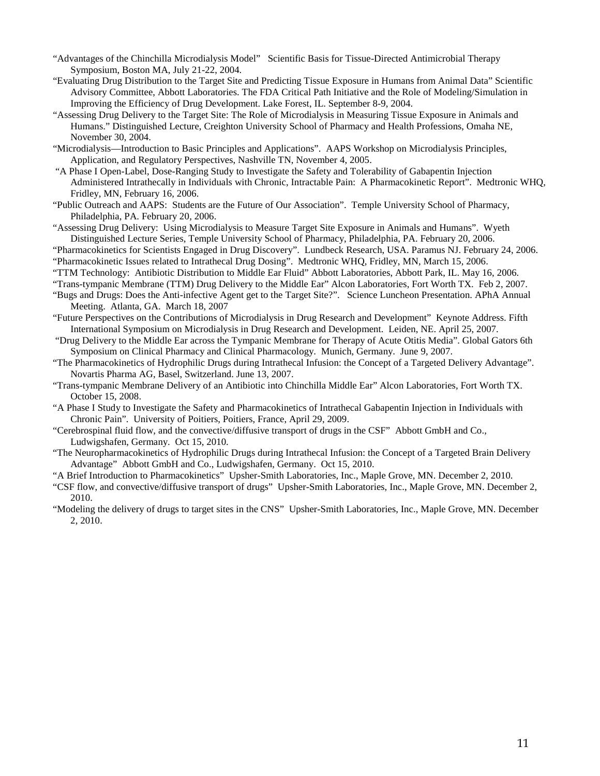- "Advantages of the Chinchilla Microdialysis Model" Scientific Basis for Tissue-Directed Antimicrobial Therapy Symposium, Boston MA, July 21-22, 2004.
- "Evaluating Drug Distribution to the Target Site and Predicting Tissue Exposure in Humans from Animal Data" Scientific Advisory Committee, Abbott Laboratories. The FDA Critical Path Initiative and the Role of Modeling/Simulation in Improving the Efficiency of Drug Development. Lake Forest, IL. September 8-9, 2004.
- "Assessing Drug Delivery to the Target Site: The Role of Microdialysis in Measuring Tissue Exposure in Animals and Humans." Distinguished Lecture, Creighton University School of Pharmacy and Health Professions, Omaha NE, November 30, 2004.
- "Microdialysis—Introduction to Basic Principles and Applications". AAPS Workshop on Microdialysis Principles, Application, and Regulatory Perspectives, Nashville TN, November 4, 2005.
- "A Phase I Open-Label, Dose-Ranging Study to Investigate the Safety and Tolerability of Gabapentin Injection Administered Intrathecally in Individuals with Chronic, Intractable Pain: A Pharmacokinetic Report". Medtronic WHQ, Fridley, MN, February 16, 2006.
- "Public Outreach and AAPS: Students are the Future of Our Association". Temple University School of Pharmacy, Philadelphia, PA. February 20, 2006.
- "Assessing Drug Delivery: Using Microdialysis to Measure Target Site Exposure in Animals and Humans". Wyeth Distinguished Lecture Series, Temple University School of Pharmacy, Philadelphia, PA. February 20, 2006.
- "Pharmacokinetics for Scientists Engaged in Drug Discovery". Lundbeck Research, USA. Paramus NJ. February 24, 2006. "Pharmacokinetic Issues related to Intrathecal Drug Dosing". Medtronic WHQ, Fridley, MN, March 15, 2006.
- "TTM Technology: Antibiotic Distribution to Middle Ear Fluid" Abbott Laboratories, Abbott Park, IL. May 16, 2006.
- "Trans-tympanic Membrane (TTM) Drug Delivery to the Middle Ear" Alcon Laboratories, Fort Worth TX. Feb 2, 2007.
- "Bugs and Drugs: Does the Anti-infective Agent get to the Target Site?". Science Luncheon Presentation. APhA Annual Meeting. Atlanta, GA. March 18, 2007
- "Future Perspectives on the Contributions of Microdialysis in Drug Research and Development" Keynote Address. Fifth International Symposium on Microdialysis in Drug Research and Development. Leiden, NE. April 25, 2007.
- "Drug Delivery to the Middle Ear across the Tympanic Membrane for Therapy of Acute Otitis Media". Global Gators 6th Symposium on Clinical Pharmacy and Clinical Pharmacology. Munich, Germany. June 9, 2007.
- "The Pharmacokinetics of Hydrophilic Drugs during Intrathecal Infusion: the Concept of a Targeted Delivery Advantage". Novartis Pharma AG, Basel, Switzerland. June 13, 2007.
- "Trans-tympanic Membrane Delivery of an Antibiotic into Chinchilla Middle Ear" Alcon Laboratories, Fort Worth TX. October 15, 2008.
- "A Phase I Study to Investigate the Safety and Pharmacokinetics of Intrathecal Gabapentin Injection in Individuals with Chronic Pain". University of Poitiers, Poitiers, France, April 29, 2009.
- "Cerebrospinal fluid flow, and the convective/diffusive transport of drugs in the CSF" Abbott GmbH and Co., Ludwigshafen, Germany. Oct 15, 2010.
- "The Neuropharmacokinetics of Hydrophilic Drugs during Intrathecal Infusion: the Concept of a Targeted Brain Delivery Advantage" Abbott GmbH and Co., Ludwigshafen, Germany. Oct 15, 2010.
- "A Brief Introduction to Pharmacokinetics" Upsher-Smith Laboratories, Inc., Maple Grove, MN. December 2, 2010.
- "CSF flow, and convective/diffusive transport of drugs" Upsher-Smith Laboratories, Inc., Maple Grove, MN. December 2, 2010.
- "Modeling the delivery of drugs to target sites in the CNS" Upsher-Smith Laboratories, Inc., Maple Grove, MN. December 2, 2010.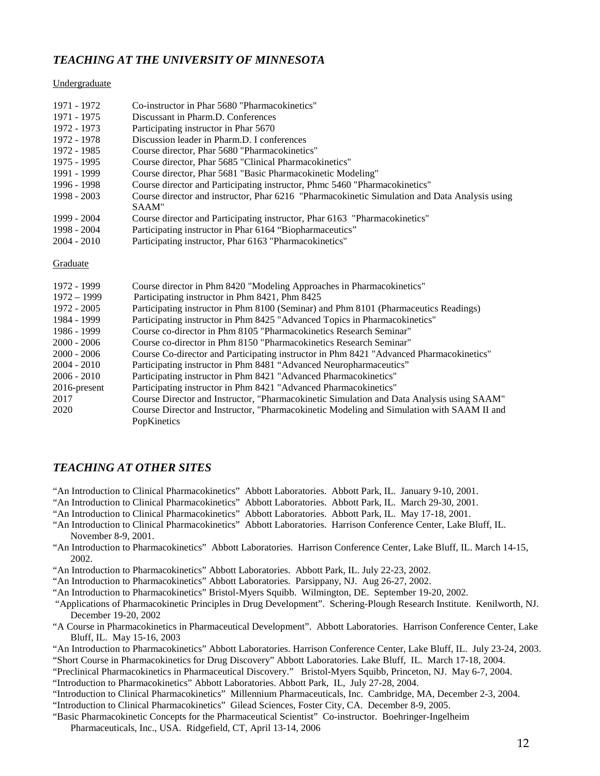### *TEACHING AT THE UNIVERSITY OF MINNESOTA*

#### Undergraduate

| 1971 - 1972   | Co-instructor in Phar 5680 "Pharmacokinetics"                                                 |
|---------------|-----------------------------------------------------------------------------------------------|
| 1971 - 1975   | Discussant in Pharm.D. Conferences                                                            |
| 1972 - 1973   | Participating instructor in Phar 5670                                                         |
| 1972 - 1978   | Discussion leader in Pharm.D. I conferences                                                   |
| 1972 - 1985   | Course director, Phar 5680 "Pharmacokinetics"                                                 |
| 1975 - 1995   | Course director, Phar 5685 "Clinical Pharmacokinetics"                                        |
| 1991 - 1999   | Course director, Phar 5681 "Basic Pharmacokinetic Modeling"                                   |
| 1996 - 1998   | Course director and Participating instructor, Phmc 5460 "Pharmacokinetics"                    |
| 1998 - 2003   | Course director and instructor, Phar 6216 "Pharmacokinetic Simulation and Data Analysis using |
|               | SAAM"                                                                                         |
| 1999 - 2004   | Course director and Participating instructor, Phar 6163 "Pharmacokinetics"                    |
| 1998 - 2004   | Participating instructor in Phar 6164 "Biopharmaceutics"                                      |
| $2004 - 2010$ | Participating instructor, Phar 6163 "Pharmacokinetics"                                        |
|               |                                                                                               |
| Graduate      |                                                                                               |
| 1972 - 1999   | Course director in Phm 8420 "Modeling Approaches in Pharmacokinetics"                         |
| $1972 - 1999$ | Participating instructor in Phm 8421, Phm 8425                                                |
| 1972 - 2005   | Participating instructor in Phm 8100 (Seminar) and Phm 8101 (Pharmaceutics Readings)          |
| 1984 - 1999   | Participating instructor in Phm 8425 "Advanced Topics in Pharmacokinetics"                    |
| 1986 - 1999   | Course co-director in Phm 8105 "Pharmacokinetics Research Seminar"                            |
| $2000 - 2006$ | Course co-director in Phm 8150 "Pharmacokinetics Research Seminar"                            |
| $2000 - 2006$ | Course Co-director and Participating instructor in Phm 8421 "Advanced Pharmacokinetics"       |
| $2004 - 2010$ | Participating instructor in Phm 8481 "Advanced Neuropharmaceutics"                            |
| $2006 - 2010$ | Participating instructor in Phm 8421 "Advanced Pharmacokinetics"                              |
| 2016-present  | Participating instructor in Phm 8421 "Advanced Pharmacokinetics"                              |
| 2017          | Course Director and Instructor, "Pharmacokinetic Simulation and Data Analysis using SAAM"     |
| 2020          | Course Director and Instructor, "Pharmacokinetic Modeling and Simulation with SAAM II and     |
|               |                                                                                               |
|               | PopKinetics                                                                                   |

#### *TEACHING AT OTHER SITES*

- "An Introduction to Clinical Pharmacokinetics" Abbott Laboratories. Abbott Park, IL. January 9-10, 2001.
- "An Introduction to Clinical Pharmacokinetics" Abbott Laboratories. Abbott Park, IL. March 29-30, 2001.
- "An Introduction to Clinical Pharmacokinetics" Abbott Laboratories. Abbott Park, IL. May 17-18, 2001.
- "An Introduction to Clinical Pharmacokinetics" Abbott Laboratories. Harrison Conference Center, Lake Bluff, IL. November 8-9, 2001.
- "An Introduction to Pharmacokinetics" Abbott Laboratories. Harrison Conference Center, Lake Bluff, IL. March 14-15, 2002.

"An Introduction to Pharmacokinetics" Abbott Laboratories. Abbott Park, IL. July 22-23, 2002.

"An Introduction to Pharmacokinetics" Abbott Laboratories. Parsippany, NJ. Aug 26-27, 2002.

"An Introduction to Pharmacokinetics" Bristol-Myers Squibb. Wilmington, DE. September 19-20, 2002.

"Applications of Pharmacokinetic Principles in Drug Development". Schering-Plough Research Institute. Kenilworth, NJ. December 19-20, 2002

"A Course in Pharmacokinetics in Pharmaceutical Development". Abbott Laboratories. Harrison Conference Center, Lake Bluff, IL. May 15-16, 2003

"An Introduction to Pharmacokinetics" Abbott Laboratories. Harrison Conference Center, Lake Bluff, IL. July 23-24, 2003.

"Short Course in Pharmacokinetics for Drug Discovery" Abbott Laboratories. Lake Bluff, IL. March 17-18, 2004.

- "Preclinical Pharmacokinetics in Pharmaceutical Discovery." Bristol-Myers Squibb, Princeton, NJ. May 6-7, 2004.
- "Introduction to Pharmacokinetics" Abbott Laboratories. Abbott Park, IL, July 27-28, 2004.
- "Introduction to Clinical Pharmacokinetics" Millennium Pharmaceuticals, Inc. Cambridge, MA, December 2-3, 2004.
- "Introduction to Clinical Pharmacokinetics" Gilead Sciences, Foster City, CA. December 8-9, 2005.
- "Basic Pharmacokinetic Concepts for the Pharmaceutical Scientist" Co-instructor. Boehringer-Ingelheim Pharmaceuticals, Inc., USA. Ridgefield, CT, April 13-14, 2006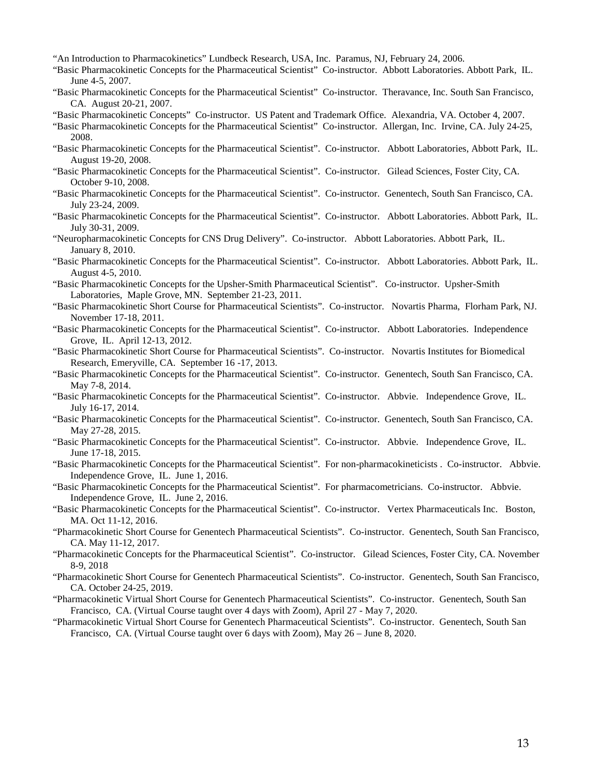"An Introduction to Pharmacokinetics" Lundbeck Research, USA, Inc. Paramus, NJ, February 24, 2006.

- "Basic Pharmacokinetic Concepts for the Pharmaceutical Scientist" Co-instructor. Abbott Laboratories. Abbott Park, IL. June 4-5, 2007.
- "Basic Pharmacokinetic Concepts for the Pharmaceutical Scientist" Co-instructor. Theravance, Inc. South San Francisco, CA. August 20-21, 2007.
- "Basic Pharmacokinetic Concepts" Co-instructor. US Patent and Trademark Office. Alexandria, VA. October 4, 2007.
- "Basic Pharmacokinetic Concepts for the Pharmaceutical Scientist" Co-instructor. Allergan, Inc. Irvine, CA. July 24-25, 2008.
- "Basic Pharmacokinetic Concepts for the Pharmaceutical Scientist". Co-instructor. Abbott Laboratories, Abbott Park, IL. August 19-20, 2008.
- "Basic Pharmacokinetic Concepts for the Pharmaceutical Scientist". Co-instructor. Gilead Sciences, Foster City, CA. October 9-10, 2008.
- "Basic Pharmacokinetic Concepts for the Pharmaceutical Scientist". Co-instructor. Genentech, South San Francisco, CA. July 23-24, 2009.
- "Basic Pharmacokinetic Concepts for the Pharmaceutical Scientist". Co-instructor. Abbott Laboratories. Abbott Park, IL. July 30-31, 2009.
- "Neuropharmacokinetic Concepts for CNS Drug Delivery". Co-instructor. Abbott Laboratories. Abbott Park, IL. January 8, 2010.
- "Basic Pharmacokinetic Concepts for the Pharmaceutical Scientist". Co-instructor. Abbott Laboratories. Abbott Park, IL. August 4-5, 2010.
- "Basic Pharmacokinetic Concepts for the Upsher-Smith Pharmaceutical Scientist". Co-instructor. Upsher-Smith Laboratories, Maple Grove, MN. September 21-23, 2011.
- "Basic Pharmacokinetic Short Course for Pharmaceutical Scientists". Co-instructor. Novartis Pharma, Florham Park, NJ. November 17-18, 2011.
- "Basic Pharmacokinetic Concepts for the Pharmaceutical Scientist". Co-instructor. Abbott Laboratories. Independence Grove, IL. April 12-13, 2012.
- "Basic Pharmacokinetic Short Course for Pharmaceutical Scientists". Co-instructor. Novartis Institutes for Biomedical Research, Emeryville, CA. September 16 -17, 2013.
- "Basic Pharmacokinetic Concepts for the Pharmaceutical Scientist". Co-instructor. Genentech, South San Francisco, CA. May 7-8, 2014.
- "Basic Pharmacokinetic Concepts for the Pharmaceutical Scientist". Co-instructor. Abbvie. Independence Grove, IL. July 16-17, 2014.
- "Basic Pharmacokinetic Concepts for the Pharmaceutical Scientist". Co-instructor. Genentech, South San Francisco, CA. May 27-28, 2015.
- "Basic Pharmacokinetic Concepts for the Pharmaceutical Scientist". Co-instructor. Abbvie. Independence Grove, IL. June 17-18, 2015.
- "Basic Pharmacokinetic Concepts for the Pharmaceutical Scientist". For non-pharmacokineticists . Co-instructor. Abbvie. Independence Grove, IL. June 1, 2016.
- "Basic Pharmacokinetic Concepts for the Pharmaceutical Scientist". For pharmacometricians. Co-instructor. Abbvie. Independence Grove, IL. June 2, 2016.
- "Basic Pharmacokinetic Concepts for the Pharmaceutical Scientist". Co-instructor. Vertex Pharmaceuticals Inc. Boston, MA. Oct 11-12, 2016.
- "Pharmacokinetic Short Course for Genentech Pharmaceutical Scientists". Co-instructor. Genentech, South San Francisco, CA. May 11-12, 2017.
- "Pharmacokinetic Concepts for the Pharmaceutical Scientist". Co-instructor. Gilead Sciences, Foster City, CA. November 8-9, 2018
- "Pharmacokinetic Short Course for Genentech Pharmaceutical Scientists". Co-instructor. Genentech, South San Francisco, CA. October 24-25, 2019.
- "Pharmacokinetic Virtual Short Course for Genentech Pharmaceutical Scientists". Co-instructor. Genentech, South San Francisco, CA. (Virtual Course taught over 4 days with Zoom), April 27 - May 7, 2020.
- "Pharmacokinetic Virtual Short Course for Genentech Pharmaceutical Scientists". Co-instructor. Genentech, South San Francisco, CA. (Virtual Course taught over 6 days with Zoom), May 26 – June 8, 2020.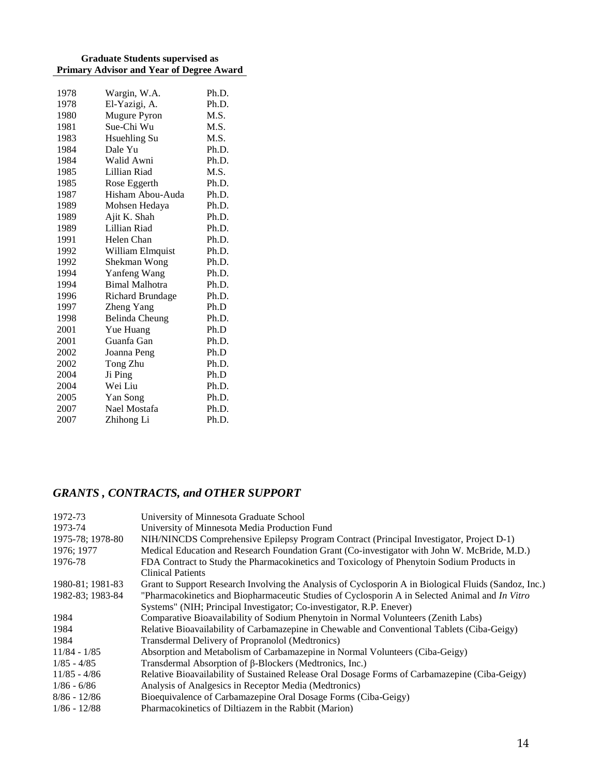#### **Graduate Students supervised as Primary Advisor and Year of Degree Award**

| 1978 | Wargin, W.A.          | Ph.D. |
|------|-----------------------|-------|
| 1978 | El-Yazigi, A.         | Ph.D. |
| 1980 | <b>Mugure Pyron</b>   | M.S.  |
| 1981 | Sue-Chi Wu            | M.S.  |
| 1983 | Hsuehling Su          | M.S.  |
| 1984 | Dale Yu               | Ph.D. |
| 1984 | Walid Awni            | Ph.D. |
| 1985 | Lillian Riad          | M.S.  |
| 1985 | Rose Eggerth          | Ph.D. |
| 1987 | Hisham Abou-Auda      | Ph.D. |
| 1989 | Mohsen Hedaya         | Ph.D. |
| 1989 | Ajit K. Shah          | Ph.D. |
| 1989 | Lillian Riad          | Ph.D. |
| 1991 | Helen Chan            | Ph.D. |
| 1992 | William Elmquist      | Ph.D. |
| 1992 | Shekman Wong          | Ph.D. |
| 1994 | Yanfeng Wang          | Ph.D. |
| 1994 | <b>Bimal Malhotra</b> | Ph.D. |
| 1996 | Richard Brundage      | Ph.D. |
| 1997 | Zheng Yang            | Ph.D  |
| 1998 | <b>Belinda Cheung</b> | Ph.D. |
| 2001 | Yue Huang             | Ph.D  |
| 2001 | Guanfa Gan            | Ph.D. |
| 2002 | Joanna Peng           | Ph.D  |
| 2002 | Tong Zhu              | Ph.D. |
| 2004 | Ji Ping               | Ph.D  |
| 2004 | Wei Liu               | Ph.D. |
| 2005 | Yan Song              | Ph.D. |
| 2007 | Nael Mostafa          | Ph.D. |
| 2007 | Zhihong Li            | Ph.D. |
|      |                       |       |

## *GRANTS , CONTRACTS, and OTHER SUPPORT*

| 1972-73          | University of Minnesota Graduate School                                                               |
|------------------|-------------------------------------------------------------------------------------------------------|
| 1973-74          | University of Minnesota Media Production Fund                                                         |
| 1975-78; 1978-80 | NIH/NINCDS Comprehensive Epilepsy Program Contract (Principal Investigator, Project D-1)              |
| 1976; 1977       | Medical Education and Research Foundation Grant (Co-investigator with John W. McBride, M.D.)          |
| 1976-78          | FDA Contract to Study the Pharmacokinetics and Toxicology of Phenytoin Sodium Products in             |
|                  | <b>Clinical Patients</b>                                                                              |
| 1980-81; 1981-83 | Grant to Support Research Involving the Analysis of Cyclosporin A in Biological Fluids (Sandoz, Inc.) |
| 1982-83; 1983-84 | "Pharmacokinetics and Biopharmaceutic Studies of Cyclosporin A in Selected Animal and In Vitro        |
|                  | Systems" (NIH; Principal Investigator; Co-investigator, R.P. Enever)                                  |
| 1984             | Comparative Bioavailability of Sodium Phenytoin in Normal Volunteers (Zenith Labs)                    |
| 1984             | Relative Bioavailability of Carbamazepine in Chewable and Conventional Tablets (Ciba-Geigy)           |
| 1984             | Transdermal Delivery of Propranolol (Medtronics)                                                      |
| $11/84 - 1/85$   | Absorption and Metabolism of Carbamazepine in Normal Volunteers (Ciba-Geigy)                          |
| $1/85 - 4/85$    | Transdermal Absorption of $\beta$ -Blockers (Medtronics, Inc.)                                        |
| $11/85 - 4/86$   | Relative Bioavailability of Sustained Release Oral Dosage Forms of Carbamazepine (Ciba-Geigy)         |
| $1/86 - 6/86$    | Analysis of Analgesics in Receptor Media (Medtronics)                                                 |
| $8/86 - 12/86$   | Bioequivalence of Carbamazepine Oral Dosage Forms (Ciba-Geigy)                                        |
| $1/86 - 12/88$   | Pharmacokinetics of Diltiazem in the Rabbit (Marion)                                                  |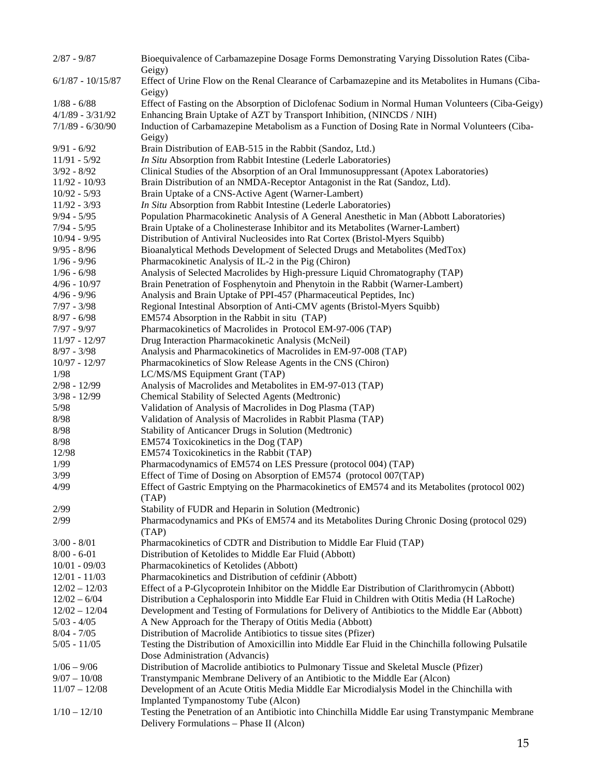| $2/87 - 9/87$       | Bioequivalence of Carbamazepine Dosage Forms Demonstrating Varying Dissolution Rates (Ciba-<br>Geigy)                                   |
|---------------------|-----------------------------------------------------------------------------------------------------------------------------------------|
| $6/1/87 - 10/15/87$ | Effect of Urine Flow on the Renal Clearance of Carbamazepine and its Metabolites in Humans (Ciba-                                       |
|                     | Geigy)                                                                                                                                  |
| $1/88 - 6/88$       | Effect of Fasting on the Absorption of Diclofenac Sodium in Normal Human Volunteers (Ciba-Geigy)                                        |
| $4/1/89 - 3/31/92$  | Enhancing Brain Uptake of AZT by Transport Inhibition, (NINCDS / NIH)                                                                   |
| $7/1/89 - 6/30/90$  | Induction of Carbamazepine Metabolism as a Function of Dosing Rate in Normal Volunteers (Ciba-<br>Geigy)                                |
| $9/91 - 6/92$       | Brain Distribution of EAB-515 in the Rabbit (Sandoz, Ltd.)                                                                              |
| $11/91 - 5/92$      | In Situ Absorption from Rabbit Intestine (Lederle Laboratories)                                                                         |
| $3/92 - 8/92$       | Clinical Studies of the Absorption of an Oral Immunosuppressant (Apotex Laboratories)                                                   |
| $11/92 - 10/93$     | Brain Distribution of an NMDA-Receptor Antagonist in the Rat (Sandoz, Ltd).                                                             |
| $10/92 - 5/93$      | Brain Uptake of a CNS-Active Agent (Warner-Lambert)                                                                                     |
| $11/92 - 3/93$      | In Situ Absorption from Rabbit Intestine (Lederle Laboratories)                                                                         |
| $9/94 - 5/95$       | Population Pharmacokinetic Analysis of A General Anesthetic in Man (Abbott Laboratories)                                                |
| $7/94 - 5/95$       | Brain Uptake of a Cholinesterase Inhibitor and its Metabolites (Warner-Lambert)                                                         |
| $10/94 - 9/95$      | Distribution of Antiviral Nucleosides into Rat Cortex (Bristol-Myers Squibb)                                                            |
| $9/95 - 8/96$       | Bioanalytical Methods Development of Selected Drugs and Metabolites (MedTox)                                                            |
| $1/96 - 9/96$       | Pharmacokinetic Analysis of IL-2 in the Pig (Chiron)                                                                                    |
| $1/96 - 6/98$       | Analysis of Selected Macrolides by High-pressure Liquid Chromatography (TAP)                                                            |
| $4/96 - 10/97$      | Brain Penetration of Fosphenytoin and Phenytoin in the Rabbit (Warner-Lambert)                                                          |
| $4/96 - 9/96$       | Analysis and Brain Uptake of PPI-457 (Pharmaceutical Peptides, Inc)                                                                     |
| $7/97 - 3/98$       | Regional Intestinal Absorption of Anti-CMV agents (Bristol-Myers Squibb)                                                                |
| $8/97 - 6/98$       | EM574 Absorption in the Rabbit in situ (TAP)                                                                                            |
| $7/97 - 9/97$       | Pharmacokinetics of Macrolides in Protocol EM-97-006 (TAP)                                                                              |
| 11/97 - 12/97       | Drug Interaction Pharmacokinetic Analysis (McNeil)                                                                                      |
| $8/97 - 3/98$       | Analysis and Pharmacokinetics of Macrolides in EM-97-008 (TAP)                                                                          |
| $10/97 - 12/97$     | Pharmacokinetics of Slow Release Agents in the CNS (Chiron)                                                                             |
| 1/98                | LC/MS/MS Equipment Grant (TAP)                                                                                                          |
| $2/98 - 12/99$      | Analysis of Macrolides and Metabolites in EM-97-013 (TAP)                                                                               |
| $3/98 - 12/99$      | Chemical Stability of Selected Agents (Medtronic)                                                                                       |
| 5/98                | Validation of Analysis of Macrolides in Dog Plasma (TAP)                                                                                |
| $8/98$              | Validation of Analysis of Macrolides in Rabbit Plasma (TAP)                                                                             |
| 8/98                | Stability of Anticancer Drugs in Solution (Medtronic)                                                                                   |
| 8/98                | EM574 Toxicokinetics in the Dog (TAP)                                                                                                   |
| 12/98               | EM574 Toxicokinetics in the Rabbit (TAP)                                                                                                |
| 1/99                | Pharmacodynamics of EM574 on LES Pressure (protocol 004) (TAP)                                                                          |
| 3/99                | Effect of Time of Dosing on Absorption of EM574 (protocol 007(TAP)                                                                      |
| 4/99                | Effect of Gastric Emptying on the Pharmacokinetics of EM574 and its Metabolites (protocol 002)<br>(TAP)                                 |
| 2/99                | Stability of FUDR and Heparin in Solution (Medtronic)                                                                                   |
| 2/99                | Pharmacodynamics and PKs of EM574 and its Metabolites During Chronic Dosing (protocol 029)<br>(TAP)                                     |
| $3/00 - 8/01$       | Pharmacokinetics of CDTR and Distribution to Middle Ear Fluid (TAP)                                                                     |
| $8/00 - 6 - 01$     | Distribution of Ketolides to Middle Ear Fluid (Abbott)                                                                                  |
| $10/01 - 09/03$     | Pharmacokinetics of Ketolides (Abbott)                                                                                                  |
| $12/01 - 11/03$     | Pharmacokinetics and Distribution of cefdinir (Abbott)                                                                                  |
| $12/02 - 12/03$     | Effect of a P-Glycoprotein Inhibitor on the Middle Ear Distribution of Clarithromycin (Abbott)                                          |
| $12/02 - 6/04$      | Distribution a Cephalosporin into Middle Ear Fluid in Children with Otitis Media (H LaRoche)                                            |
| $12/02 - 12/04$     | Development and Testing of Formulations for Delivery of Antibiotics to the Middle Ear (Abbott)                                          |
| $5/03 - 4/05$       | A New Approach for the Therapy of Otitis Media (Abbott)                                                                                 |
| $8/04 - 7/05$       | Distribution of Macrolide Antibiotics to tissue sites (Pfizer)                                                                          |
| $5/05 - 11/05$      | Testing the Distribution of Amoxicillin into Middle Ear Fluid in the Chinchilla following Pulsatile                                     |
|                     | Dose Administration (Advancis)                                                                                                          |
| $1/06 - 9/06$       | Distribution of Macrolide antibiotics to Pulmonary Tissue and Skeletal Muscle (Pfizer)                                                  |
| $9/07 - 10/08$      | Transtympanic Membrane Delivery of an Antibiotic to the Middle Ear (Alcon)                                                              |
| $11/07 - 12/08$     | Development of an Acute Otitis Media Middle Ear Microdialysis Model in the Chinchilla with                                              |
| $1/10 - 12/10$      | Implanted Tympanostomy Tube (Alcon)<br>Testing the Penetration of an Antibiotic into Chinchilla Middle Ear using Transtympanic Membrane |
|                     | Delivery Formulations - Phase II (Alcon)                                                                                                |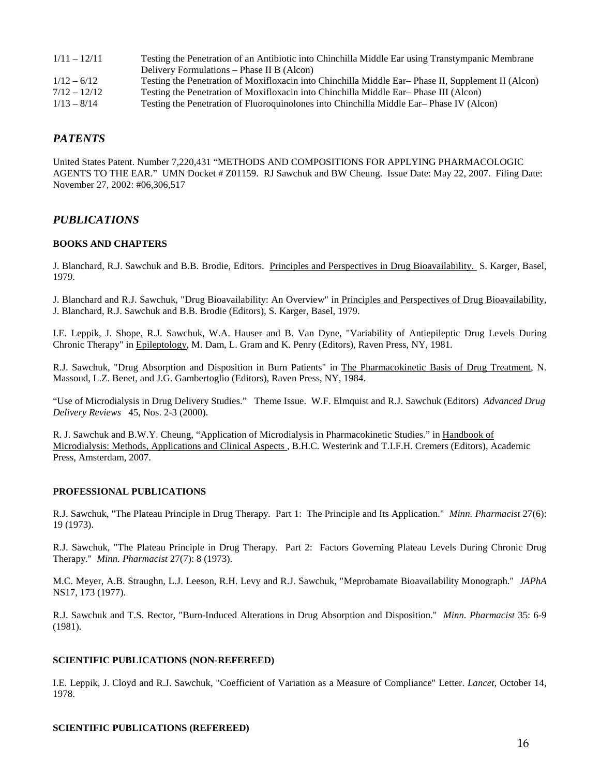| $1/11 - 12/11$ | Testing the Penetration of an Antibiotic into Chinchilla Middle Ear using Transtympanic Membrane   |
|----------------|----------------------------------------------------------------------------------------------------|
|                | Delivery Formulations – Phase II B (Alcon)                                                         |
| $1/12 - 6/12$  | Testing the Penetration of Moxifloxacin into Chinchilla Middle Ear-Phase II, Supplement II (Alcon) |
| $7/12 - 12/12$ | Testing the Penetration of Moxifloxacin into Chinchilla Middle Ear-Phase III (Alcon)               |
| $1/13 - 8/14$  | Testing the Penetration of Fluoroquinolones into Chinchilla Middle Ear-Phase IV (Alcon)            |

## *PATENTS*

United States Patent. Number 7,220,431 "METHODS AND COMPOSITIONS FOR APPLYING PHARMACOLOGIC AGENTS TO THE EAR." UMN Docket # Z01159. RJ Sawchuk and BW Cheung. Issue Date: May 22, 2007. Filing Date: November 27, 2002: #06,306,517

## *PUBLICATIONS*

#### **BOOKS AND CHAPTERS**

J. Blanchard, R.J. Sawchuk and B.B. Brodie, Editors. Principles and Perspectives in Drug Bioavailability. S. Karger, Basel, 1979.

J. Blanchard and R.J. Sawchuk, "Drug Bioavailability: An Overview" in Principles and Perspectives of Drug Bioavailability, J. Blanchard, R.J. Sawchuk and B.B. Brodie (Editors), S. Karger, Basel, 1979.

I.E. Leppik, J. Shope, R.J. Sawchuk, W.A. Hauser and B. Van Dyne, "Variability of Antiepileptic Drug Levels During Chronic Therapy" in Epileptology, M. Dam, L. Gram and K. Penry (Editors), Raven Press, NY, 1981.

R.J. Sawchuk, "Drug Absorption and Disposition in Burn Patients" in The Pharmacokinetic Basis of Drug Treatment, N. Massoud, L.Z. Benet, and J.G. Gambertoglio (Editors), Raven Press, NY, 1984.

"Use of Microdialysis in Drug Delivery Studies."Theme Issue. W.F. Elmquist and R.J. Sawchuk (Editors) *Advanced Drug Delivery Reviews* 45, Nos. 2-3 (2000).

R. J. Sawchuk and B.W.Y. Cheung, "Application of Microdialysis in Pharmacokinetic Studies." in Handbook of Microdialysis: Methods, Applications and Clinical Aspects , B.H.C. Westerink and T.I.F.H. Cremers (Editors), Academic Press, Amsterdam, 2007.

#### **PROFESSIONAL PUBLICATIONS**

R.J. Sawchuk, "The Plateau Principle in Drug Therapy. Part 1: The Principle and Its Application." *Minn. Pharmacist* 27(6): 19 (1973).

R.J. Sawchuk, "The Plateau Principle in Drug Therapy. Part 2: Factors Governing Plateau Levels During Chronic Drug Therapy." *Minn. Pharmacist* 27(7): 8 (1973).

M.C. Meyer, A.B. Straughn, L.J. Leeson, R.H. Levy and R.J. Sawchuk, "Meprobamate Bioavailability Monograph." *JAPhA* NS17, 173 (1977).

R.J. Sawchuk and T.S. Rector, "Burn-Induced Alterations in Drug Absorption and Disposition." *Minn. Pharmacist* 35: 6-9 (1981).

#### **SCIENTIFIC PUBLICATIONS (NON-REFEREED)**

I.E. Leppik, J. Cloyd and R.J. Sawchuk, "Coefficient of Variation as a Measure of Compliance" Letter. *Lancet*, October 14, 1978.

#### **SCIENTIFIC PUBLICATIONS (REFEREED)**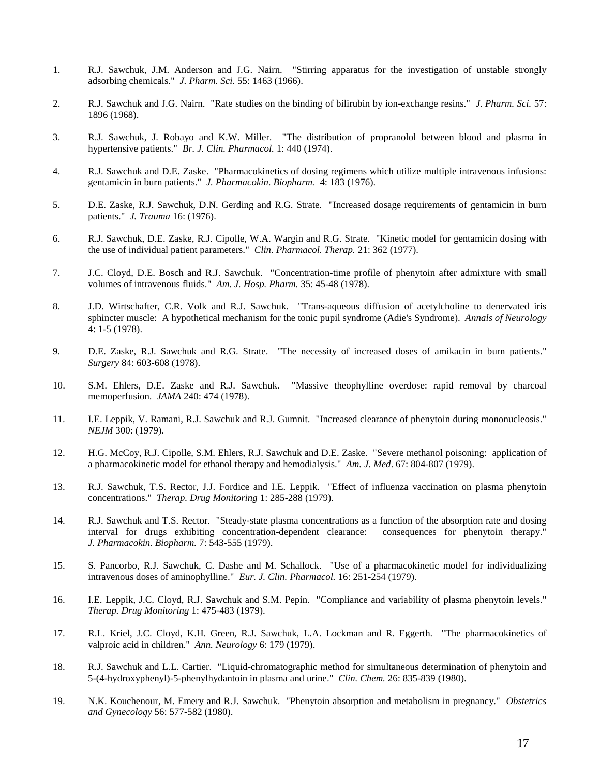- 1. R.J. Sawchuk, J.M. Anderson and J.G. Nairn. "Stirring apparatus for the investigation of unstable strongly adsorbing chemicals." *J. Pharm. Sci.* 55: 1463 (1966).
- 2. R.J. Sawchuk and J.G. Nairn. "Rate studies on the binding of bilirubin by ion-exchange resins." *J. Pharm. Sci.* 57: 1896 (1968).
- 3. R.J. Sawchuk, J. Robayo and K.W. Miller. "The distribution of propranolol between blood and plasma in hypertensive patients." *Br. J. Clin. Pharmacol.* 1: 440 (1974).
- 4. R.J. Sawchuk and D.E. Zaske. "Pharmacokinetics of dosing regimens which utilize multiple intravenous infusions: gentamicin in burn patients." *J. Pharmacokin. Biopharm.* 4: 183 (1976).
- 5. D.E. Zaske, R.J. Sawchuk, D.N. Gerding and R.G. Strate. "Increased dosage requirements of gentamicin in burn patients." *J. Trauma* 16: (1976).
- 6. R.J. Sawchuk, D.E. Zaske, R.J. Cipolle, W.A. Wargin and R.G. Strate. "Kinetic model for gentamicin dosing with the use of individual patient parameters." *Clin. Pharmacol. Therap.* 21: 362 (1977).
- 7. J.C. Cloyd, D.E. Bosch and R.J. Sawchuk. "Concentration-time profile of phenytoin after admixture with small volumes of intravenous fluids." *Am. J. Hosp. Pharm.* 35: 45-48 (1978).
- 8. J.D. Wirtschafter, C.R. Volk and R.J. Sawchuk. "Trans-aqueous diffusion of acetylcholine to denervated iris sphincter muscle: A hypothetical mechanism for the tonic pupil syndrome (Adie's Syndrome). *Annals of Neurology* 4: 1-5 (1978).
- 9. D.E. Zaske, R.J. Sawchuk and R.G. Strate. "The necessity of increased doses of amikacin in burn patients." *Surgery* 84: 603-608 (1978).
- 10. S.M. Ehlers, D.E. Zaske and R.J. Sawchuk. "Massive theophylline overdose: rapid removal by charcoal memoperfusion. *JAMA* 240: 474 (1978).
- 11. I.E. Leppik, V. Ramani, R.J. Sawchuk and R.J. Gumnit. "Increased clearance of phenytoin during mononucleosis." *NEJM* 300: (1979).
- 12. H.G. McCoy, R.J. Cipolle, S.M. Ehlers, R.J. Sawchuk and D.E. Zaske. "Severe methanol poisoning: application of a pharmacokinetic model for ethanol therapy and hemodialysis." *Am. J. Med*. 67: 804-807 (1979).
- 13. R.J. Sawchuk, T.S. Rector, J.J. Fordice and I.E. Leppik. "Effect of influenza vaccination on plasma phenytoin concentrations." *Therap. Drug Monitoring* 1: 285-288 (1979).
- 14. R.J. Sawchuk and T.S. Rector. "Steady-state plasma concentrations as a function of the absorption rate and dosing interval for drugs exhibiting concentration-dependent clearance: consequences for phenytoin therapy." *J. Pharmacokin. Biopharm.* 7: 543-555 (1979).
- 15. S. Pancorbo, R.J. Sawchuk, C. Dashe and M. Schallock. "Use of a pharmacokinetic model for individualizing intravenous doses of aminophylline." *Eur. J. Clin. Pharmacol.* 16: 251-254 (1979).
- 16. I.E. Leppik, J.C. Cloyd, R.J. Sawchuk and S.M. Pepin. "Compliance and variability of plasma phenytoin levels." *Therap. Drug Monitoring* 1: 475-483 (1979).
- 17. R.L. Kriel, J.C. Cloyd, K.H. Green, R.J. Sawchuk, L.A. Lockman and R. Eggerth. "The pharmacokinetics of valproic acid in children." *Ann. Neurology* 6: 179 (1979).
- 18. R.J. Sawchuk and L.L. Cartier. "Liquid-chromatographic method for simultaneous determination of phenytoin and 5-(4-hydroxyphenyl)-5-phenylhydantoin in plasma and urine." *Clin. Chem.* 26: 835-839 (1980).
- 19. N.K. Kouchenour, M. Emery and R.J. Sawchuk. "Phenytoin absorption and metabolism in pregnancy." *Obstetrics and Gynecology* 56: 577-582 (1980).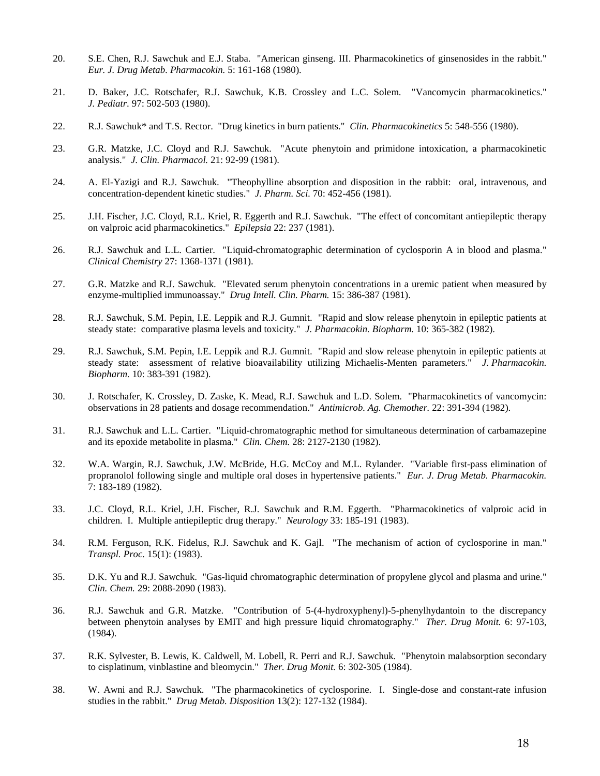- 20. S.E. Chen, R.J. Sawchuk and E.J. Staba. "American ginseng. III. Pharmacokinetics of ginsenosides in the rabbit." *Eur. J. Drug Metab. Pharmacokin.* 5: 161-168 (1980).
- 21. D. Baker, J.C. Rotschafer, R.J. Sawchuk, K.B. Crossley and L.C. Solem. "Vancomycin pharmacokinetics." *J. Pediatr*. 97: 502-503 (1980).
- 22. R.J. Sawchuk\* and T.S. Rector. "Drug kinetics in burn patients." *Clin. Pharmacokinetics* 5: 548-556 (1980).
- 23. G.R. Matzke, J.C. Cloyd and R.J. Sawchuk. "Acute phenytoin and primidone intoxication, a pharmacokinetic analysis." *J. Clin. Pharmacol.* 21: 92-99 (1981).
- 24. A. El-Yazigi and R.J. Sawchuk. "Theophylline absorption and disposition in the rabbit: oral, intravenous, and concentration-dependent kinetic studies." *J. Pharm. Sci.* 70: 452-456 (1981).
- 25. J.H. Fischer, J.C. Cloyd, R.L. Kriel, R. Eggerth and R.J. Sawchuk. "The effect of concomitant antiepileptic therapy on valproic acid pharmacokinetics." *Epilepsia* 22: 237 (1981).
- 26. R.J. Sawchuk and L.L. Cartier. "Liquid-chromatographic determination of cyclosporin A in blood and plasma." *Clinical Chemistry* 27: 1368-1371 (1981).
- 27. G.R. Matzke and R.J. Sawchuk. "Elevated serum phenytoin concentrations in a uremic patient when measured by enzyme-multiplied immunoassay." *Drug Intell. Clin. Pharm.* 15: 386-387 (1981).
- 28. R.J. Sawchuk, S.M. Pepin, I.E. Leppik and R.J. Gumnit. "Rapid and slow release phenytoin in epileptic patients at steady state: comparative plasma levels and toxicity." *J. Pharmacokin. Biopharm.* 10: 365-382 (1982).
- 29. R.J. Sawchuk, S.M. Pepin, I.E. Leppik and R.J. Gumnit. "Rapid and slow release phenytoin in epileptic patients at steady state: assessment of relative bioavailability utilizing Michaelis-Menten parameters." *J. Pharmacokin. Biopharm.* 10: 383-391 (1982).
- 30. J. Rotschafer, K. Crossley, D. Zaske, K. Mead, R.J. Sawchuk and L.D. Solem. "Pharmacokinetics of vancomycin: observations in 28 patients and dosage recommendation." *Antimicrob. Ag. Chemother.* 22: 391-394 (1982).
- 31. R.J. Sawchuk and L.L. Cartier. "Liquid-chromatographic method for simultaneous determination of carbamazepine and its epoxide metabolite in plasma." *Clin. Chem.* 28: 2127-2130 (1982).
- 32. W.A. Wargin, R.J. Sawchuk, J.W. McBride, H.G. McCoy and M.L. Rylander. "Variable first-pass elimination of propranolol following single and multiple oral doses in hypertensive patients." *Eur. J. Drug Metab. Pharmacokin.* 7: 183-189 (1982).
- 33. J.C. Cloyd, R.L. Kriel, J.H. Fischer, R.J. Sawchuk and R.M. Eggerth. "Pharmacokinetics of valproic acid in children. I. Multiple antiepileptic drug therapy." *Neurology* 33: 185-191 (1983).
- 34. R.M. Ferguson, R.K. Fidelus, R.J. Sawchuk and K. Gajl. "The mechanism of action of cyclosporine in man." *Transpl. Proc.* 15(1): (1983).
- 35. D.K. Yu and R.J. Sawchuk. "Gas-liquid chromatographic determination of propylene glycol and plasma and urine." *Clin. Chem.* 29: 2088-2090 (1983).
- 36. R.J. Sawchuk and G.R. Matzke. "Contribution of 5-(4-hydroxyphenyl)-5-phenylhydantoin to the discrepancy between phenytoin analyses by EMIT and high pressure liquid chromatography." *Ther. Drug Monit.* 6: 97-103, (1984).
- 37. R.K. Sylvester, B. Lewis, K. Caldwell, M. Lobell, R. Perri and R.J. Sawchuk. "Phenytoin malabsorption secondary to cisplatinum, vinblastine and bleomycin." *Ther. Drug Monit.* 6: 302-305 (1984).
- 38. W. Awni and R.J. Sawchuk. "The pharmacokinetics of cyclosporine. I. Single-dose and constant-rate infusion studies in the rabbit." *Drug Metab. Disposition* 13(2): 127-132 (1984).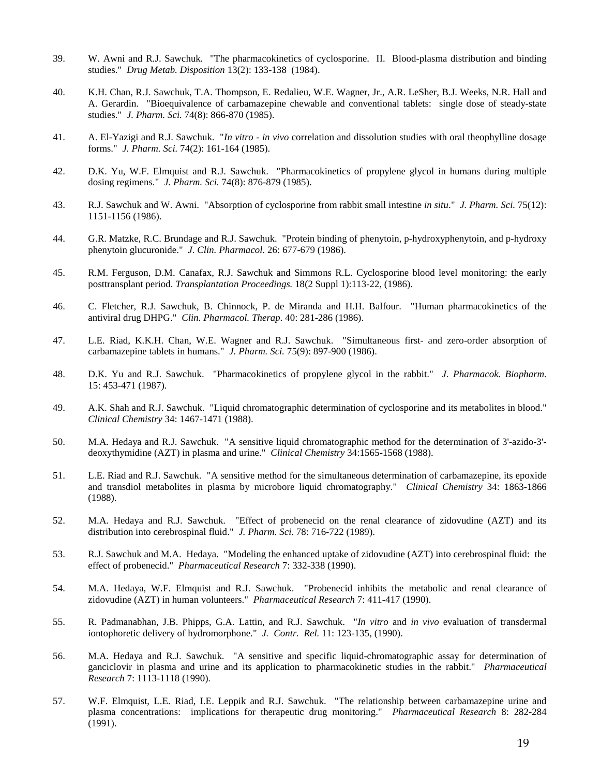- 39. W. Awni and R.J. Sawchuk. "The pharmacokinetics of cyclosporine. II. Blood-plasma distribution and binding studies." *Drug Metab. Disposition* 13(2): 133-138 (1984).
- 40. K.H. Chan, R.J. Sawchuk, T.A. Thompson, E. Redalieu, W.E. Wagner, Jr., A.R. LeSher, B.J. Weeks, N.R. Hall and A. Gerardin. "Bioequivalence of carbamazepine chewable and conventional tablets: single dose of steady-state studies." *J. Pharm. Sci.* 74(8): 866-870 (1985).
- 41. A. El-Yazigi and R.J. Sawchuk. "*In vitro in vivo* correlation and dissolution studies with oral theophylline dosage forms." *J. Pharm. Sci.* 74(2): 161-164 (1985).
- 42. D.K. Yu, W.F. Elmquist and R.J. Sawchuk. "Pharmacokinetics of propylene glycol in humans during multiple dosing regimens." *J. Pharm. Sci.* 74(8): 876-879 (1985).
- 43. R.J. Sawchuk and W. Awni. "Absorption of cyclosporine from rabbit small intestine *in situ*." *J. Pharm. Sci.* 75(12): 1151-1156 (1986).
- 44. G.R. Matzke, R.C. Brundage and R.J. Sawchuk. "Protein binding of phenytoin, p-hydroxyphenytoin, and p-hydroxy phenytoin glucuronide." *J. Clin. Pharmacol.* 26: 677-679 (1986).
- 45. R.M. Ferguson, D.M. Canafax, R.J. Sawchuk and Simmons R.L. Cyclosporine blood level monitoring: the early posttransplant period. *Transplantation Proceedings.* 18(2 Suppl 1):113-22, (1986).
- 46. C. Fletcher, R.J. Sawchuk, B. Chinnock, P. de Miranda and H.H. Balfour. "Human pharmacokinetics of the antiviral drug DHPG." *Clin. Pharmacol. Therap.* 40: 281-286 (1986).
- 47. L.E. Riad, K.K.H. Chan, W.E. Wagner and R.J. Sawchuk. "Simultaneous first- and zero-order absorption of carbamazepine tablets in humans." *J. Pharm. Sci.* 75(9): 897-900 (1986).
- 48. D.K. Yu and R.J. Sawchuk. "Pharmacokinetics of propylene glycol in the rabbit." *J. Pharmacok. Biopharm.* 15: 453-471 (1987).
- 49. A.K. Shah and R.J. Sawchuk. "Liquid chromatographic determination of cyclosporine and its metabolites in blood." *Clinical Chemistry* 34: 1467-1471 (1988).
- 50. M.A. Hedaya and R.J. Sawchuk. "A sensitive liquid chromatographic method for the determination of 3'-azido-3' deoxythymidine (AZT) in plasma and urine." *Clinical Chemistry* 34:1565-1568 (1988).
- 51. L.E. Riad and R.J. Sawchuk. "A sensitive method for the simultaneous determination of carbamazepine, its epoxide and transdiol metabolites in plasma by microbore liquid chromatography." *Clinical Chemistry* 34: 1863-1866 (1988).
- 52. M.A. Hedaya and R.J. Sawchuk. "Effect of probenecid on the renal clearance of zidovudine (AZT) and its distribution into cerebrospinal fluid." *J. Pharm. Sci.* 78: 716-722 (1989).
- 53. R.J. Sawchuk and M.A. Hedaya. "Modeling the enhanced uptake of zidovudine (AZT) into cerebrospinal fluid: the effect of probenecid." *Pharmaceutical Research* 7: 332-338 (1990).
- 54. M.A. Hedaya, W.F. Elmquist and R.J. Sawchuk. "Probenecid inhibits the metabolic and renal clearance of zidovudine (AZT) in human volunteers." *Pharmaceutical Research* 7: 411-417 (1990).
- 55. R. Padmanabhan, J.B. Phipps, G.A. Lattin, and R.J. Sawchuk. "*In vitro* and *in vivo* evaluation of transdermal iontophoretic delivery of hydromorphone." *J. Contr. Rel.* 11: 123-135, (1990).
- 56. M.A. Hedaya and R.J. Sawchuk. "A sensitive and specific liquid-chromatographic assay for determination of ganciclovir in plasma and urine and its application to pharmacokinetic studies in the rabbit." *Pharmaceutical Research* 7: 1113-1118 (1990).
- 57. W.F. Elmquist, L.E. Riad, I.E. Leppik and R.J. Sawchuk. "The relationship between carbamazepine urine and plasma concentrations: implications for therapeutic drug monitoring." *Pharmaceutical Research* 8: 282-284 (1991).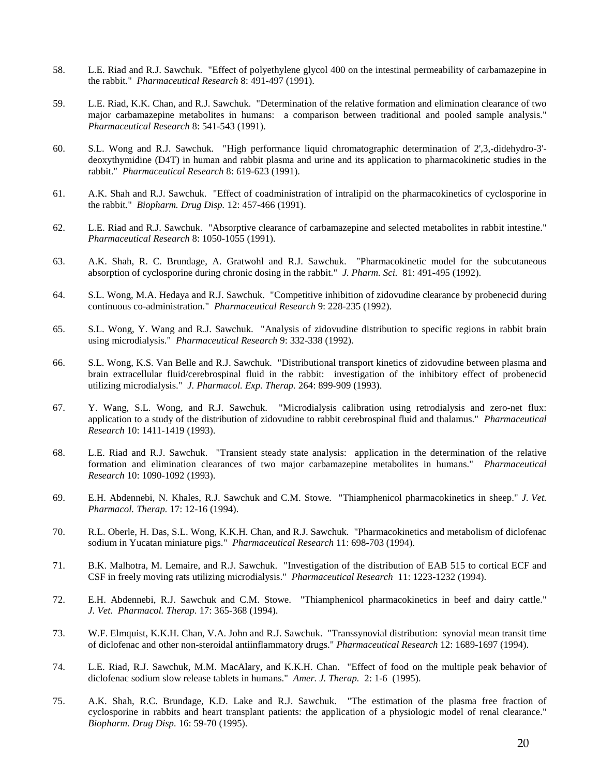- 58. L.E. Riad and R.J. Sawchuk. "Effect of polyethylene glycol 400 on the intestinal permeability of carbamazepine in the rabbit." *Pharmaceutical Research* 8: 491-497 (1991).
- 59. L.E. Riad, K.K. Chan, and R.J. Sawchuk. "Determination of the relative formation and elimination clearance of two major carbamazepine metabolites in humans: a comparison between traditional and pooled sample analysis." *Pharmaceutical Research* 8: 541-543 (1991).
- 60. S.L. Wong and R.J. Sawchuk. "High performance liquid chromatographic determination of 2',3,-didehydro-3' deoxythymidine (D4T) in human and rabbit plasma and urine and its application to pharmacokinetic studies in the rabbit." *Pharmaceutical Research* 8: 619-623 (1991).
- 61. A.K. Shah and R.J. Sawchuk. "Effect of coadministration of intralipid on the pharmacokinetics of cyclosporine in the rabbit." *Biopharm. Drug Disp.* 12: 457-466 (1991).
- 62. L.E. Riad and R.J. Sawchuk. "Absorptive clearance of carbamazepine and selected metabolites in rabbit intestine." *Pharmaceutical Research* 8: 1050-1055 (1991).
- 63. A.K. Shah, R. C. Brundage, A. Gratwohl and R.J. Sawchuk. "Pharmacokinetic model for the subcutaneous absorption of cyclosporine during chronic dosing in the rabbit." *J. Pharm. Sci.* 81: 491-495 (1992).
- 64. S.L. Wong, M.A. Hedaya and R.J. Sawchuk. "Competitive inhibition of zidovudine clearance by probenecid during continuous co-administration." *Pharmaceutical Research* 9: 228-235 (1992).
- 65. S.L. Wong, Y. Wang and R.J. Sawchuk. "Analysis of zidovudine distribution to specific regions in rabbit brain using microdialysis." *Pharmaceutical Research* 9: 332-338 (1992).
- 66. S.L. Wong, K.S. Van Belle and R.J. Sawchuk. "Distributional transport kinetics of zidovudine between plasma and brain extracellular fluid/cerebrospinal fluid in the rabbit: investigation of the inhibitory effect of probenecid utilizing microdialysis." *J. Pharmacol. Exp. Therap.* 264: 899-909 (1993).
- 67. Y. Wang, S.L. Wong, and R.J. Sawchuk. "Microdialysis calibration using retrodialysis and zero-net flux: application to a study of the distribution of zidovudine to rabbit cerebrospinal fluid and thalamus." *Pharmaceutical Research* 10: 1411-1419 (1993).
- 68. L.E. Riad and R.J. Sawchuk. "Transient steady state analysis: application in the determination of the relative formation and elimination clearances of two major carbamazepine metabolites in humans." *Pharmaceutical Research* 10: 1090-1092 (1993).
- 69. E.H. Abdennebi, N. Khales, R.J. Sawchuk and C.M. Stowe. "Thiamphenicol pharmacokinetics in sheep." *J. Vet. Pharmacol. Therap.* 17: 12-16 (1994).
- 70. R.L. Oberle, H. Das, S.L. Wong, K.K.H. Chan, and R.J. Sawchuk. "Pharmacokinetics and metabolism of diclofenac sodium in Yucatan miniature pigs." *Pharmaceutical Research* 11: 698-703 (1994).
- 71. B.K. Malhotra, M. Lemaire, and R.J. Sawchuk. "Investigation of the distribution of EAB 515 to cortical ECF and CSF in freely moving rats utilizing microdialysis." *Pharmaceutical Research* 11: 1223-1232 (1994).
- 72. E.H. Abdennebi, R.J. Sawchuk and C.M. Stowe. "Thiamphenicol pharmacokinetics in beef and dairy cattle." *J. Vet. Pharmacol. Therap.* 17: 365-368 (1994).
- 73. W.F. Elmquist, K.K.H. Chan, V.A. John and R.J. Sawchuk. "Transsynovial distribution: synovial mean transit time of diclofenac and other non-steroidal antiinflammatory drugs." *Pharmaceutical Research* 12: 1689-1697 (1994).
- 74. L.E. Riad, R.J. Sawchuk, M.M. MacAlary, and K.K.H. Chan. "Effect of food on the multiple peak behavior of diclofenac sodium slow release tablets in humans." *Amer. J. Therap.* 2: 1-6 (1995).
- 75. A.K. Shah, R.C. Brundage, K.D. Lake and R.J. Sawchuk. "The estimation of the plasma free fraction of cyclosporine in rabbits and heart transplant patients: the application of a physiologic model of renal clearance." *Biopharm. Drug Disp.* 16: 59-70 (1995).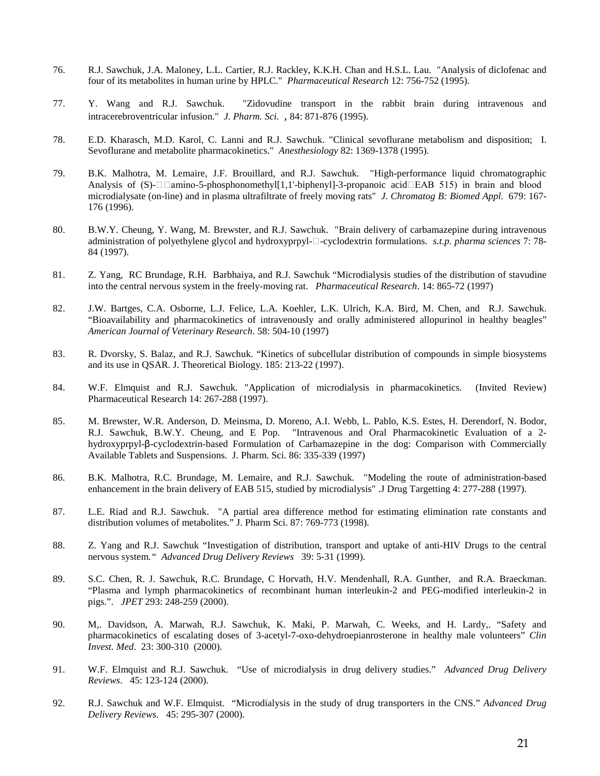- 76. R.J. Sawchuk, J.A. Maloney, L.L. Cartier, R.J. Rackley, K.K.H. Chan and H.S.L. Lau. "Analysis of diclofenac and four of its metabolites in human urine by HPLC." *Pharmaceutical Research* 12: 756-752 (1995).
- 77. Y. Wang and R.J. Sawchuk. "Zidovudine transport in the rabbit brain during intravenous and intracerebroventricular infusion." *J. Pharm. Sci.* , 84: 871-876 (1995).
- 78. E.D. Kharasch, M.D. Karol, C. Lanni and R.J. Sawchuk. "Clinical sevoflurane metabolism and disposition; I. Sevoflurane and metabolite pharmacokinetics." *Anesthesiology* 82: 1369-1378 (1995).
- 79. B.K. Malhotra, M. Lemaire, J.F. Brouillard, and R.J. Sawchuk. "High-performance liquid chromatographic Analysis of (S)- $\square$  amino-5-phosphonomethyl[1,1'-biphenyl]-3-propanoic acid  $\square$ EAB 515) in brain and blood microdialysate (on-line) and in plasma ultrafiltrate of freely moving rats" *J. Chromatog B: Biomed Appl.* 679: 167- 176 (1996).
- 80. B.W.Y. Cheung, Y. Wang, M. Brewster, and R.J. Sawchuk. "Brain delivery of carbamazepine during intravenous administration of polyethylene glycol and hydroxyprpyl- $\Box$ -cyclodextrin formulations. *s.t.p. pharma sciences* 7: 78-84 (1997).
- 81. Z. Yang, RC Brundage, R.H. Barbhaiya, and R.J. Sawchuk "Microdialysis studies of the distribution of stavudine into the central nervous system in the freely-moving rat. *Pharmaceutical Research*. 14: 865-72 (1997)
- 82. J.W. Bartges, C.A. Osborne, L.J. Felice, L.A. Koehler, L.K. Ulrich, K.A. Bird, M. Chen, and R.J. Sawchuk. "Bioavailability and pharmacokinetics of intravenously and orally administered allopurinol in healthy beagles" *American Journal of Veterinary Research*. 58: 504-10 (1997)
- 83. R. Dvorsky, S. Balaz, and R.J. Sawchuk. "Kinetics of subcellular distribution of compounds in simple biosystems and its use in QSAR. J. Theoretical Biology. 185: 213-22 (1997).
- 84. W.F. Elmquist and R.J. Sawchuk. "Application of microdialysis in pharmacokinetics. (Invited Review) Pharmaceutical Research 14: 267-288 (1997).
- 85. M. Brewster, W.R. Anderson, D. Meinsma, D. Moreno, A.I. Webb, L. Pablo, K.S. Estes, H. Derendorf, N. Bodor, R.J. Sawchuk, B.W.Y. Cheung, and E Pop. "Intravenous and Oral Pharmacokinetic Evaluation of a 2 hydroxyprpyl-β-cyclodextrin-based Formulation of Carbamazepine in the dog: Comparison with Commercially Available Tablets and Suspensions. J. Pharm. Sci. 86: 335-339 (1997)
- 86. B.K. Malhotra, R.C. Brundage, M. Lemaire, and R.J. Sawchuk. "Modeling the route of administration-based enhancement in the brain delivery of EAB 515, studied by microdialysis" .J Drug Targetting 4: 277-288 (1997).
- 87. L.E. Riad and R.J. Sawchuk. "A partial area difference method for estimating elimination rate constants and distribution volumes of metabolites." J. Pharm Sci. 87: 769-773 (1998).
- 88. Z. Yang and R.J. Sawchuk "Investigation of distribution, transport and uptake of anti-HIV Drugs to the central nervous system*." Advanced Drug Delivery Reviews* 39: 5-31 (1999).
- 89. S.C. Chen, R. J. Sawchuk, R.C. Brundage, C Horvath, H.V. Mendenhall, R.A. Gunther, and R.A. Braeckman. "Plasma and lymph pharmacokinetics of recombinant human interleukin-2 and PEG-modified interleukin-2 in pigs.". *JPET* 293: 248-259 (2000).
- 90. M,. Davidson, A. Marwah, R.J. Sawchuk, K. Maki, P. Marwah, C. Weeks, and H. Lardy,. "Safety and pharmacokinetics of escalating doses of 3-acetyl-7-oxo-dehydroepianrosterone in healthy male volunteers" *Clin Invest. Med*. 23: 300-310 (2000).
- 91. W.F. Elmquist and R.J. Sawchuk. "Use of microdialysis in drug delivery studies." *Advanced Drug Delivery Reviews*. 45: 123-124 (2000).
- 92. R.J. Sawchuk and W.F. Elmquist. "Microdialysis in the study of drug transporters in the CNS." *Advanced Drug Delivery Reviews*. 45: 295-307 (2000).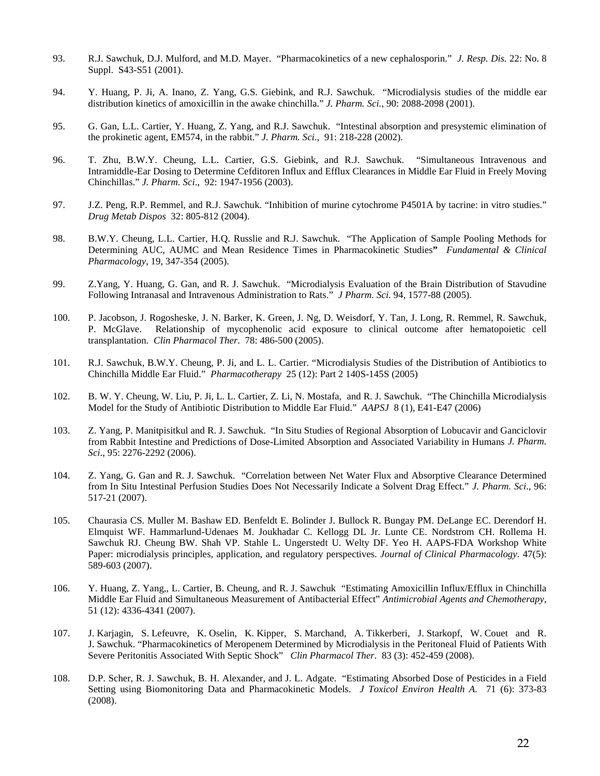- 93. R.J. Sawchuk, D.J. Mulford, and M.D. Mayer. "Pharmacokinetics of a new cephalosporin." *J. Resp. Dis.* 22: No. 8 Suppl. S43-S51 (2001).
- 94. Y. Huang, P. Ji, A. Inano, Z. Yang, G.S. Giebink, and R.J. Sawchuk. "Microdialysis studies of the middle ear distribution kinetics of amoxicillin in the awake chinchilla." *J. Pharm. Sci.*, 90: 2088-2098 (2001).
- 95. G. Gan, L.L. Cartier, Y. Huang, Z. Yang, and R.J. Sawchuk. "Intestinal absorption and presystemic elimination of the prokinetic agent, EM574, in the rabbit." *J. Pharm. Sci*., 91: 218-228 (2002).
- 96. T. Zhu, B.W.Y. Cheung, L.L. Cartier, G.S. Giebink, and R.J. Sawchuk. "Simultaneous Intravenous and Intramiddle-Ear Dosing to Determine Cefditoren Influx and Efflux Clearances in Middle Ear Fluid in Freely Moving Chinchillas." *J. Pharm. Sci*., 92: 1947-1956 (2003).
- 97. J.Z. Peng, R.P. Remmel, and R.J. Sawchuk. "Inhibition of murine cytochrome P4501A by tacrine: in vitro studies." *Drug Metab Dispos* 32: 805-812 (2004).
- 98. B.W.Y. Cheung, L.L. Cartier, H.Q. Russlie and R.J. Sawchuk. "The Application of Sample Pooling Methods for Determining AUC, AUMC and Mean Residence Times in Pharmacokinetic Studies**"** *Fundamental & Clinical Pharmacology*, 19, 347-354 (2005).
- 99. Z.Yang, Y. Huang, G. Gan, and R. J. Sawchuk. "Microdialysis Evaluation of the Brain Distribution of Stavudine Following Intranasal and Intravenous Administration to Rats." *J Pharm. Sci.* 94, 1577-88 (2005).
- 100. P. Jacobson, J. Rogosheske, J. N. Barker, K. Green, J. Ng, D. Weisdorf, Y. Tan, J. Long, R. Remmel, R. Sawchuk, P. McGlave. Relationship of mycophenolic acid exposure to clinical outcome after hematopoietic cell transplantation. *Clin Pharmacol Ther*. 78: 486-500 (2005).
- 101. R.J. Sawchuk, B.W.Y. Cheung, P. Ji, and L. L. Cartier. "Microdialysis Studies of the Distribution of Antibiotics to Chinchilla Middle Ear Fluid." *Pharmacotherapy* 25 (12): Part 2 140S-145S (2005)
- 102. B. W. Y. Cheung, W. Liu, P. Ji, L. L. Cartier, Z. Li, N. Mostafa, and R. J. Sawchuk. "The Chinchilla Microdialysis Model for the Study of Antibiotic Distribution to Middle Ear Fluid." *AAPSJ* 8 (1), E41-E47 (2006)
- 103. Z. Yang, P. Manitpisitkul and R. J. Sawchuk. "In Situ Studies of Regional Absorption of Lobucavir and Ganciclovir from Rabbit Intestine and Predictions of Dose-Limited Absorption and Associated Variability in Humans *J. Pharm. Sci*., 95: 2276-2292 (2006).
- 104. Z. Yang, G. Gan and R. J. Sawchuk. "Correlation between Net Water Flux and Absorptive Clearance Determined from In Situ Intestinal Perfusion Studies Does Not Necessarily Indicate a Solvent Drag Effect." *J. Pharm. Sci*., 96: 517-21 (2007).
- 105. Chaurasia CS. Muller M. Bashaw ED. Benfeldt E. Bolinder J. Bullock R. Bungay PM. DeLange EC. Derendorf H. Elmquist WF. Hammarlund-Udenaes M. Joukhadar C. Kellogg DL Jr. Lunte CE. Nordstrom CH. Rollema H. Sawchuk RJ. Cheung BW. Shah VP. Stahle L. Ungerstedt U. Welty DF. Yeo H. AAPS-FDA Workshop White Paper: microdialysis principles, application, and regulatory perspectives. *Journal of Clinical Pharmacology*. 47(5): 589-603 (2007).
- 106. Y. Huang, Z. Yang,, L. Cartier, B. Cheung, and R. J. Sawchuk "Estimating Amoxicillin Influx/Efflux in Chinchilla Middle Ear Fluid and Simultaneous Measurement of Antibacterial Effect" *Antimicrobial Agents and Chemotherapy*, 51 (12): 4336-4341 (2007).
- 107. J. Karjagin, S. Lefeuvre, K. Oselin, K. Kipper, S. Marchand, A. Tikkerberi, J. Starkopf, W. Couet and R. J. Sawchuk. "Pharmacokinetics of Meropenem Determined by Microdialysis in the Peritoneal Fluid of Patients With Severe Peritonitis Associated With Septic Shock" *Clin Pharmacol Ther*. 83 (3): 452-459 (2008).
- 108. D.P. Scher, R. J. Sawchuk, B. H. Alexander, and J. L. Adgate. "Estimating Absorbed Dose of Pesticides in a Field Setting using Biomonitoring Data and Pharmacokinetic Models. *J Toxicol Environ Health A.* 71 (6): 373-83 (2008).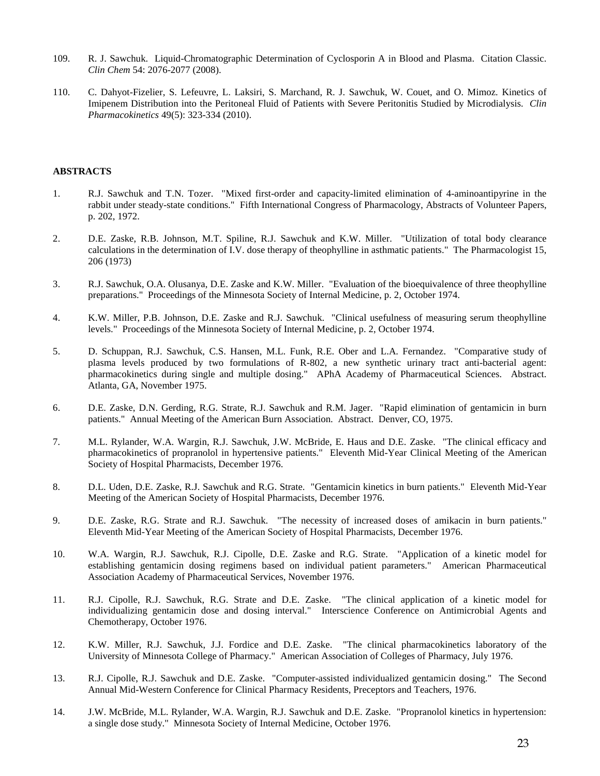- 109. R. J. Sawchuk. Liquid-Chromatographic Determination of Cyclosporin A in Blood and Plasma. Citation Classic. *Clin Chem* 54: 2076-2077 (2008).
- 110. C. Dahyot-Fizelier, S. Lefeuvre, L. Laksiri, S. Marchand, R. J. Sawchuk, W. Couet, and O. Mimoz. Kinetics of Imipenem Distribution into the Peritoneal Fluid of Patients with Severe Peritonitis Studied by Microdialysis. *Clin Pharmacokinetics* 49(5): 323-334 (2010).

#### **ABSTRACTS**

- 1. R.J. Sawchuk and T.N. Tozer. "Mixed first-order and capacity-limited elimination of 4-aminoantipyrine in the rabbit under steady-state conditions." Fifth International Congress of Pharmacology, Abstracts of Volunteer Papers, p. 202, 1972.
- 2. D.E. Zaske, R.B. Johnson, M.T. Spiline, R.J. Sawchuk and K.W. Miller. "Utilization of total body clearance calculations in the determination of I.V. dose therapy of theophylline in asthmatic patients." The Pharmacologist 15, 206 (1973)
- 3. R.J. Sawchuk, O.A. Olusanya, D.E. Zaske and K.W. Miller. "Evaluation of the bioequivalence of three theophylline preparations." Proceedings of the Minnesota Society of Internal Medicine, p. 2, October 1974.
- 4. K.W. Miller, P.B. Johnson, D.E. Zaske and R.J. Sawchuk. "Clinical usefulness of measuring serum theophylline levels." Proceedings of the Minnesota Society of Internal Medicine, p. 2, October 1974.
- 5. D. Schuppan, R.J. Sawchuk, C.S. Hansen, M.L. Funk, R.E. Ober and L.A. Fernandez. "Comparative study of plasma levels produced by two formulations of R-802, a new synthetic urinary tract anti-bacterial agent: pharmacokinetics during single and multiple dosing." APhA Academy of Pharmaceutical Sciences. Abstract. Atlanta, GA, November 1975.
- 6. D.E. Zaske, D.N. Gerding, R.G. Strate, R.J. Sawchuk and R.M. Jager. "Rapid elimination of gentamicin in burn patients." Annual Meeting of the American Burn Association. Abstract. Denver, CO, 1975.
- 7. M.L. Rylander, W.A. Wargin, R.J. Sawchuk, J.W. McBride, E. Haus and D.E. Zaske. "The clinical efficacy and pharmacokinetics of propranolol in hypertensive patients." Eleventh Mid-Year Clinical Meeting of the American Society of Hospital Pharmacists, December 1976.
- 8. D.L. Uden, D.E. Zaske, R.J. Sawchuk and R.G. Strate. "Gentamicin kinetics in burn patients." Eleventh Mid-Year Meeting of the American Society of Hospital Pharmacists, December 1976.
- 9. D.E. Zaske, R.G. Strate and R.J. Sawchuk. "The necessity of increased doses of amikacin in burn patients." Eleventh Mid-Year Meeting of the American Society of Hospital Pharmacists, December 1976.
- 10. W.A. Wargin, R.J. Sawchuk, R.J. Cipolle, D.E. Zaske and R.G. Strate. "Application of a kinetic model for establishing gentamicin dosing regimens based on individual patient parameters." American Pharmaceutical Association Academy of Pharmaceutical Services, November 1976.
- 11. R.J. Cipolle, R.J. Sawchuk, R.G. Strate and D.E. Zaske. "The clinical application of a kinetic model for individualizing gentamicin dose and dosing interval." Interscience Conference on Antimicrobial Agents and Chemotherapy, October 1976.
- 12. K.W. Miller, R.J. Sawchuk, J.J. Fordice and D.E. Zaske. "The clinical pharmacokinetics laboratory of the University of Minnesota College of Pharmacy." American Association of Colleges of Pharmacy, July 1976.
- 13. R.J. Cipolle, R.J. Sawchuk and D.E. Zaske. "Computer-assisted individualized gentamicin dosing." The Second Annual Mid-Western Conference for Clinical Pharmacy Residents, Preceptors and Teachers, 1976.
- 14. J.W. McBride, M.L. Rylander, W.A. Wargin, R.J. Sawchuk and D.E. Zaske. "Propranolol kinetics in hypertension: a single dose study." Minnesota Society of Internal Medicine, October 1976.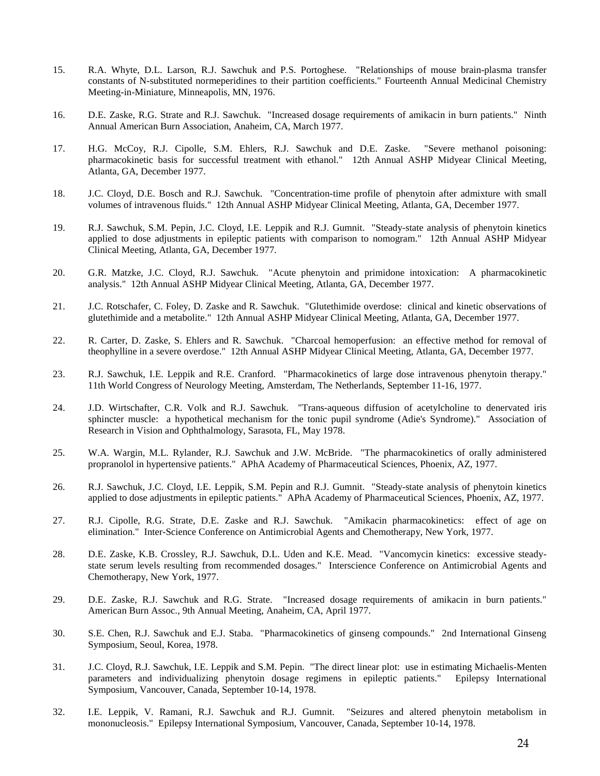- 15. R.A. Whyte, D.L. Larson, R.J. Sawchuk and P.S. Portoghese. "Relationships of mouse brain-plasma transfer constants of N-substituted normeperidines to their partition coefficients." Fourteenth Annual Medicinal Chemistry Meeting-in-Miniature, Minneapolis, MN, 1976.
- 16. D.E. Zaske, R.G. Strate and R.J. Sawchuk. "Increased dosage requirements of amikacin in burn patients." Ninth Annual American Burn Association, Anaheim, CA, March 1977.
- 17. H.G. McCoy, R.J. Cipolle, S.M. Ehlers, R.J. Sawchuk and D.E. Zaske. "Severe methanol poisoning: pharmacokinetic basis for successful treatment with ethanol." 12th Annual ASHP Midyear Clinical Meeting, Atlanta, GA, December 1977.
- 18. J.C. Cloyd, D.E. Bosch and R.J. Sawchuk. "Concentration-time profile of phenytoin after admixture with small volumes of intravenous fluids." 12th Annual ASHP Midyear Clinical Meeting, Atlanta, GA, December 1977.
- 19. R.J. Sawchuk, S.M. Pepin, J.C. Cloyd, I.E. Leppik and R.J. Gumnit. "Steady-state analysis of phenytoin kinetics applied to dose adjustments in epileptic patients with comparison to nomogram." 12th Annual ASHP Midyear Clinical Meeting, Atlanta, GA, December 1977.
- 20. G.R. Matzke, J.C. Cloyd, R.J. Sawchuk. "Acute phenytoin and primidone intoxication: A pharmacokinetic analysis." 12th Annual ASHP Midyear Clinical Meeting, Atlanta, GA, December 1977.
- 21. J.C. Rotschafer, C. Foley, D. Zaske and R. Sawchuk. "Glutethimide overdose: clinical and kinetic observations of glutethimide and a metabolite." 12th Annual ASHP Midyear Clinical Meeting, Atlanta, GA, December 1977.
- 22. R. Carter, D. Zaske, S. Ehlers and R. Sawchuk. "Charcoal hemoperfusion: an effective method for removal of theophylline in a severe overdose." 12th Annual ASHP Midyear Clinical Meeting, Atlanta, GA, December 1977.
- 23. R.J. Sawchuk, I.E. Leppik and R.E. Cranford. "Pharmacokinetics of large dose intravenous phenytoin therapy." 11th World Congress of Neurology Meeting, Amsterdam, The Netherlands, September 11-16, 1977.
- 24. J.D. Wirtschafter, C.R. Volk and R.J. Sawchuk. "Trans-aqueous diffusion of acetylcholine to denervated iris sphincter muscle: a hypothetical mechanism for the tonic pupil syndrome (Adie's Syndrome)." Association of Research in Vision and Ophthalmology, Sarasota, FL, May 1978.
- 25. W.A. Wargin, M.L. Rylander, R.J. Sawchuk and J.W. McBride. "The pharmacokinetics of orally administered propranolol in hypertensive patients." APhA Academy of Pharmaceutical Sciences, Phoenix, AZ, 1977.
- 26. R.J. Sawchuk, J.C. Cloyd, I.E. Leppik, S.M. Pepin and R.J. Gumnit. "Steady-state analysis of phenytoin kinetics applied to dose adjustments in epileptic patients." APhA Academy of Pharmaceutical Sciences, Phoenix, AZ, 1977.
- 27. R.J. Cipolle, R.G. Strate, D.E. Zaske and R.J. Sawchuk. "Amikacin pharmacokinetics: effect of age on elimination." Inter-Science Conference on Antimicrobial Agents and Chemotherapy, New York, 1977.
- 28. D.E. Zaske, K.B. Crossley, R.J. Sawchuk, D.L. Uden and K.E. Mead. "Vancomycin kinetics: excessive steadystate serum levels resulting from recommended dosages." Interscience Conference on Antimicrobial Agents and Chemotherapy, New York, 1977.
- 29. D.E. Zaske, R.J. Sawchuk and R.G. Strate. "Increased dosage requirements of amikacin in burn patients." American Burn Assoc., 9th Annual Meeting, Anaheim, CA, April 1977.
- 30. S.E. Chen, R.J. Sawchuk and E.J. Staba. "Pharmacokinetics of ginseng compounds." 2nd International Ginseng Symposium, Seoul, Korea, 1978.
- 31. J.C. Cloyd, R.J. Sawchuk, I.E. Leppik and S.M. Pepin. "The direct linear plot: use in estimating Michaelis-Menten parameters and individualizing phenytoin dosage regimens in epileptic patients." Symposium, Vancouver, Canada, September 10-14, 1978.
- 32. I.E. Leppik, V. Ramani, R.J. Sawchuk and R.J. Gumnit. "Seizures and altered phenytoin metabolism in mononucleosis." Epilepsy International Symposium, Vancouver, Canada, September 10-14, 1978.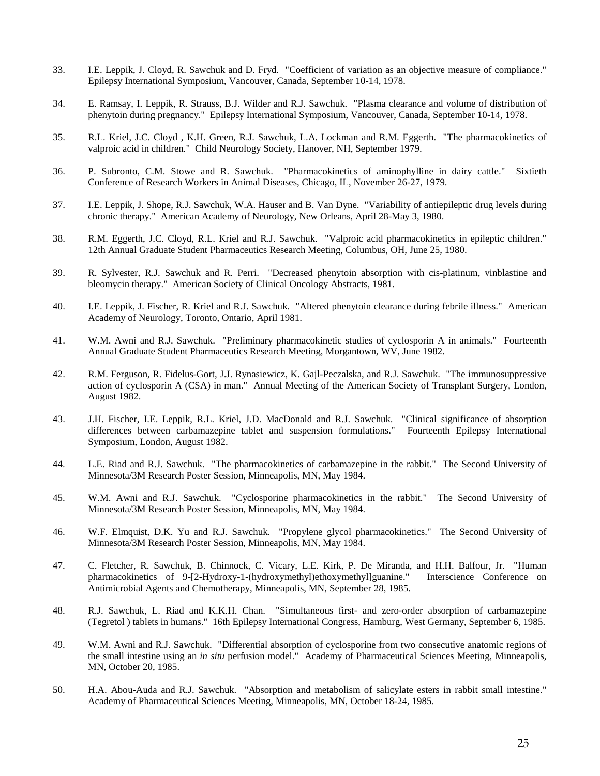- 33. I.E. Leppik, J. Cloyd, R. Sawchuk and D. Fryd. "Coefficient of variation as an objective measure of compliance." Epilepsy International Symposium, Vancouver, Canada, September 10-14, 1978.
- 34. E. Ramsay, I. Leppik, R. Strauss, B.J. Wilder and R.J. Sawchuk. "Plasma clearance and volume of distribution of phenytoin during pregnancy." Epilepsy International Symposium, Vancouver, Canada, September 10-14, 1978.
- 35. R.L. Kriel, J.C. Cloyd , K.H. Green, R.J. Sawchuk, L.A. Lockman and R.M. Eggerth. "The pharmacokinetics of valproic acid in children." Child Neurology Society, Hanover, NH, September 1979.
- 36. P. Subronto, C.M. Stowe and R. Sawchuk. "Pharmacokinetics of aminophylline in dairy cattle." Sixtieth Conference of Research Workers in Animal Diseases, Chicago, IL, November 26-27, 1979.
- 37. I.E. Leppik, J. Shope, R.J. Sawchuk, W.A. Hauser and B. Van Dyne. "Variability of antiepileptic drug levels during chronic therapy." American Academy of Neurology, New Orleans, April 28-May 3, 1980.
- 38. R.M. Eggerth, J.C. Cloyd, R.L. Kriel and R.J. Sawchuk. "Valproic acid pharmacokinetics in epileptic children." 12th Annual Graduate Student Pharmaceutics Research Meeting, Columbus, OH, June 25, 1980.
- 39. R. Sylvester, R.J. Sawchuk and R. Perri. "Decreased phenytoin absorption with cis-platinum, vinblastine and bleomycin therapy." American Society of Clinical Oncology Abstracts, 1981.
- 40. I.E. Leppik, J. Fischer, R. Kriel and R.J. Sawchuk. "Altered phenytoin clearance during febrile illness." American Academy of Neurology, Toronto, Ontario, April 1981.
- 41. W.M. Awni and R.J. Sawchuk. "Preliminary pharmacokinetic studies of cyclosporin A in animals." Fourteenth Annual Graduate Student Pharmaceutics Research Meeting, Morgantown, WV, June 1982.
- 42. R.M. Ferguson, R. Fidelus-Gort, J.J. Rynasiewicz, K. Gajl-Peczalska, and R.J. Sawchuk. "The immunosuppressive action of cyclosporin A (CSA) in man." Annual Meeting of the American Society of Transplant Surgery, London, August 1982.
- 43. J.H. Fischer, I.E. Leppik, R.L. Kriel, J.D. MacDonald and R.J. Sawchuk. "Clinical significance of absorption differences between carbamazepine tablet and suspension formulations." Fourteenth Epilepsy International Symposium, London, August 1982.
- 44. L.E. Riad and R.J. Sawchuk. "The pharmacokinetics of carbamazepine in the rabbit." The Second University of Minnesota/3M Research Poster Session, Minneapolis, MN, May 1984.
- 45. W.M. Awni and R.J. Sawchuk. "Cyclosporine pharmacokinetics in the rabbit." The Second University of Minnesota/3M Research Poster Session, Minneapolis, MN, May 1984.
- 46. W.F. Elmquist, D.K. Yu and R.J. Sawchuk. "Propylene glycol pharmacokinetics." The Second University of Minnesota/3M Research Poster Session, Minneapolis, MN, May 1984.
- 47. C. Fletcher, R. Sawchuk, B. Chinnock, C. Vicary, L.E. Kirk, P. De Miranda, and H.H. Balfour, Jr. "Human pharmacokinetics of 9-[2-Hydroxy-1-(hydroxymethyl)ethoxymethyl]guanine." Interscience Conference on Antimicrobial Agents and Chemotherapy, Minneapolis, MN, September 28, 1985.
- 48. R.J. Sawchuk, L. Riad and K.K.H. Chan. "Simultaneous first- and zero-order absorption of carbamazepine (Tegretol ) tablets in humans." 16th Epilepsy International Congress, Hamburg, West Germany, September 6, 1985.
- 49. W.M. Awni and R.J. Sawchuk. "Differential absorption of cyclosporine from two consecutive anatomic regions of the small intestine using an *in situ* perfusion model." Academy of Pharmaceutical Sciences Meeting, Minneapolis, MN, October 20, 1985.
- 50. H.A. Abou-Auda and R.J. Sawchuk. "Absorption and metabolism of salicylate esters in rabbit small intestine." Academy of Pharmaceutical Sciences Meeting, Minneapolis, MN, October 18-24, 1985.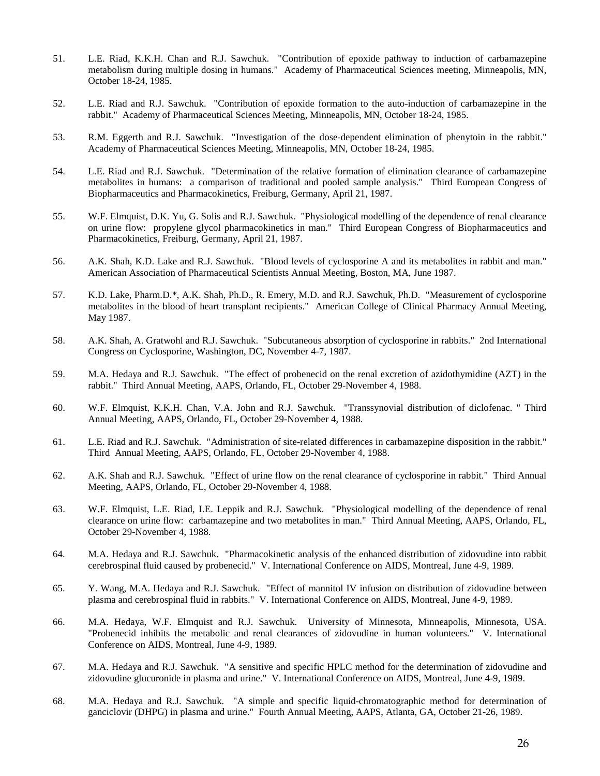- 51. L.E. Riad, K.K.H. Chan and R.J. Sawchuk. "Contribution of epoxide pathway to induction of carbamazepine metabolism during multiple dosing in humans." Academy of Pharmaceutical Sciences meeting, Minneapolis, MN, October 18-24, 1985.
- 52. L.E. Riad and R.J. Sawchuk. "Contribution of epoxide formation to the auto-induction of carbamazepine in the rabbit." Academy of Pharmaceutical Sciences Meeting, Minneapolis, MN, October 18-24, 1985.
- 53. R.M. Eggerth and R.J. Sawchuk. "Investigation of the dose-dependent elimination of phenytoin in the rabbit." Academy of Pharmaceutical Sciences Meeting, Minneapolis, MN, October 18-24, 1985.
- 54. L.E. Riad and R.J. Sawchuk. "Determination of the relative formation of elimination clearance of carbamazepine metabolites in humans: a comparison of traditional and pooled sample analysis." Third European Congress of Biopharmaceutics and Pharmacokinetics, Freiburg, Germany, April 21, 1987.
- 55. W.F. Elmquist, D.K. Yu, G. Solis and R.J. Sawchuk. "Physiological modelling of the dependence of renal clearance on urine flow: propylene glycol pharmacokinetics in man." Third European Congress of Biopharmaceutics and Pharmacokinetics, Freiburg, Germany, April 21, 1987.
- 56. A.K. Shah, K.D. Lake and R.J. Sawchuk. "Blood levels of cyclosporine A and its metabolites in rabbit and man." American Association of Pharmaceutical Scientists Annual Meeting, Boston, MA, June 1987.
- 57. K.D. Lake, Pharm.D.\*, A.K. Shah, Ph.D., R. Emery, M.D. and R.J. Sawchuk, Ph.D. "Measurement of cyclosporine metabolites in the blood of heart transplant recipients." American College of Clinical Pharmacy Annual Meeting, May 1987.
- 58. A.K. Shah, A. Gratwohl and R.J. Sawchuk. "Subcutaneous absorption of cyclosporine in rabbits." 2nd International Congress on Cyclosporine, Washington, DC, November 4-7, 1987.
- 59. M.A. Hedaya and R.J. Sawchuk. "The effect of probenecid on the renal excretion of azidothymidine (AZT) in the rabbit." Third Annual Meeting, AAPS, Orlando, FL, October 29-November 4, 1988.
- 60. W.F. Elmquist, K.K.H. Chan, V.A. John and R.J. Sawchuk. "Transsynovial distribution of diclofenac. " Third Annual Meeting, AAPS, Orlando, FL, October 29-November 4, 1988.
- 61. L.E. Riad and R.J. Sawchuk. "Administration of site-related differences in carbamazepine disposition in the rabbit." Third Annual Meeting, AAPS, Orlando, FL, October 29-November 4, 1988.
- 62. A.K. Shah and R.J. Sawchuk. "Effect of urine flow on the renal clearance of cyclosporine in rabbit." Third Annual Meeting, AAPS, Orlando, FL, October 29-November 4, 1988.
- 63. W.F. Elmquist, L.E. Riad, I.E. Leppik and R.J. Sawchuk. "Physiological modelling of the dependence of renal clearance on urine flow: carbamazepine and two metabolites in man." Third Annual Meeting, AAPS, Orlando, FL, October 29-November 4, 1988.
- 64. M.A. Hedaya and R.J. Sawchuk. "Pharmacokinetic analysis of the enhanced distribution of zidovudine into rabbit cerebrospinal fluid caused by probenecid." V. International Conference on AIDS, Montreal, June 4-9, 1989.
- 65. Y. Wang, M.A. Hedaya and R.J. Sawchuk. "Effect of mannitol IV infusion on distribution of zidovudine between plasma and cerebrospinal fluid in rabbits." V. International Conference on AIDS, Montreal, June 4-9, 1989.
- 66. M.A. Hedaya, W.F. Elmquist and R.J. Sawchuk. University of Minnesota, Minneapolis, Minnesota, USA. "Probenecid inhibits the metabolic and renal clearances of zidovudine in human volunteers." V. International Conference on AIDS, Montreal, June 4-9, 1989.
- 67. M.A. Hedaya and R.J. Sawchuk. "A sensitive and specific HPLC method for the determination of zidovudine and zidovudine glucuronide in plasma and urine." V. International Conference on AIDS, Montreal, June 4-9, 1989.
- 68. M.A. Hedaya and R.J. Sawchuk. "A simple and specific liquid-chromatographic method for determination of ganciclovir (DHPG) in plasma and urine." Fourth Annual Meeting, AAPS, Atlanta, GA, October 21-26, 1989.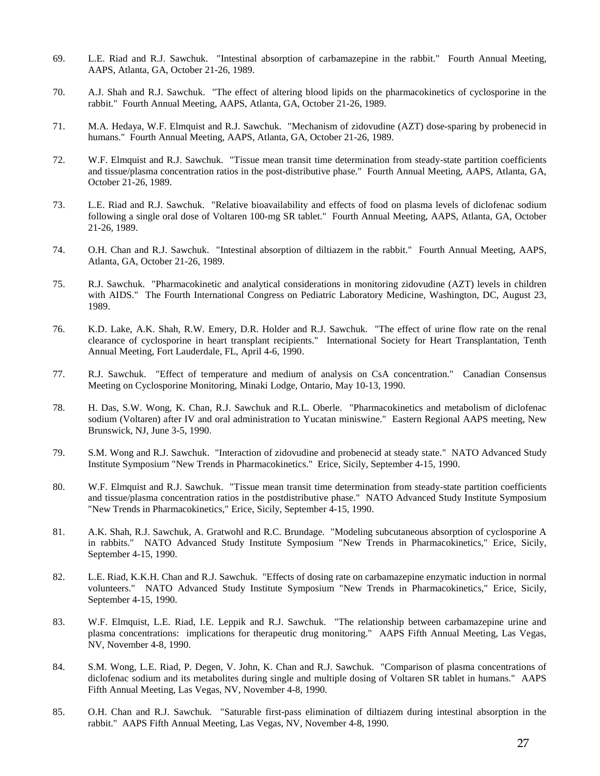- 69. L.E. Riad and R.J. Sawchuk. "Intestinal absorption of carbamazepine in the rabbit." Fourth Annual Meeting, AAPS, Atlanta, GA, October 21-26, 1989.
- 70. A.J. Shah and R.J. Sawchuk. "The effect of altering blood lipids on the pharmacokinetics of cyclosporine in the rabbit." Fourth Annual Meeting, AAPS, Atlanta, GA, October 21-26, 1989.
- 71. M.A. Hedaya, W.F. Elmquist and R.J. Sawchuk. "Mechanism of zidovudine (AZT) dose-sparing by probenecid in humans." Fourth Annual Meeting, AAPS, Atlanta, GA, October 21-26, 1989.
- 72. W.F. Elmquist and R.J. Sawchuk. "Tissue mean transit time determination from steady-state partition coefficients and tissue/plasma concentration ratios in the post-distributive phase." Fourth Annual Meeting, AAPS, Atlanta, GA, October 21-26, 1989.
- 73. L.E. Riad and R.J. Sawchuk. "Relative bioavailability and effects of food on plasma levels of diclofenac sodium following a single oral dose of Voltaren 100-mg SR tablet." Fourth Annual Meeting, AAPS, Atlanta, GA, October 21-26, 1989.
- 74. O.H. Chan and R.J. Sawchuk. "Intestinal absorption of diltiazem in the rabbit." Fourth Annual Meeting, AAPS, Atlanta, GA, October 21-26, 1989.
- 75. R.J. Sawchuk. "Pharmacokinetic and analytical considerations in monitoring zidovudine (AZT) levels in children with AIDS." The Fourth International Congress on Pediatric Laboratory Medicine, Washington, DC, August 23, 1989.
- 76. K.D. Lake, A.K. Shah, R.W. Emery, D.R. Holder and R.J. Sawchuk. "The effect of urine flow rate on the renal clearance of cyclosporine in heart transplant recipients." International Society for Heart Transplantation, Tenth Annual Meeting, Fort Lauderdale, FL, April 4-6, 1990.
- 77. R.J. Sawchuk. "Effect of temperature and medium of analysis on CsA concentration." Canadian Consensus Meeting on Cyclosporine Monitoring, Minaki Lodge, Ontario, May 10-13, 1990.
- 78. H. Das, S.W. Wong, K. Chan, R.J. Sawchuk and R.L. Oberle. "Pharmacokinetics and metabolism of diclofenac sodium (Voltaren) after IV and oral administration to Yucatan miniswine." Eastern Regional AAPS meeting, New Brunswick, NJ, June 3-5, 1990.
- 79. S.M. Wong and R.J. Sawchuk. "Interaction of zidovudine and probenecid at steady state." NATO Advanced Study Institute Symposium "New Trends in Pharmacokinetics." Erice, Sicily, September 4-15, 1990.
- 80. W.F. Elmquist and R.J. Sawchuk. "Tissue mean transit time determination from steady-state partition coefficients and tissue/plasma concentration ratios in the postdistributive phase." NATO Advanced Study Institute Symposium "New Trends in Pharmacokinetics," Erice, Sicily, September 4-15, 1990.
- 81. A.K. Shah, R.J. Sawchuk, A. Gratwohl and R.C. Brundage. "Modeling subcutaneous absorption of cyclosporine A in rabbits." NATO Advanced Study Institute Symposium "New Trends in Pharmacokinetics," Erice, Sicily, September 4-15, 1990.
- 82. L.E. Riad, K.K.H. Chan and R.J. Sawchuk. "Effects of dosing rate on carbamazepine enzymatic induction in normal volunteers." NATO Advanced Study Institute Symposium "New Trends in Pharmacokinetics," Erice, Sicily, September 4-15, 1990.
- 83. W.F. Elmquist, L.E. Riad, I.E. Leppik and R.J. Sawchuk. "The relationship between carbamazepine urine and plasma concentrations: implications for therapeutic drug monitoring." AAPS Fifth Annual Meeting, Las Vegas, NV, November 4-8, 1990.
- 84. S.M. Wong, L.E. Riad, P. Degen, V. John, K. Chan and R.J. Sawchuk. "Comparison of plasma concentrations of diclofenac sodium and its metabolites during single and multiple dosing of Voltaren SR tablet in humans." AAPS Fifth Annual Meeting, Las Vegas, NV, November 4-8, 1990.
- 85. O.H. Chan and R.J. Sawchuk. "Saturable first-pass elimination of diltiazem during intestinal absorption in the rabbit." AAPS Fifth Annual Meeting, Las Vegas, NV, November 4-8, 1990.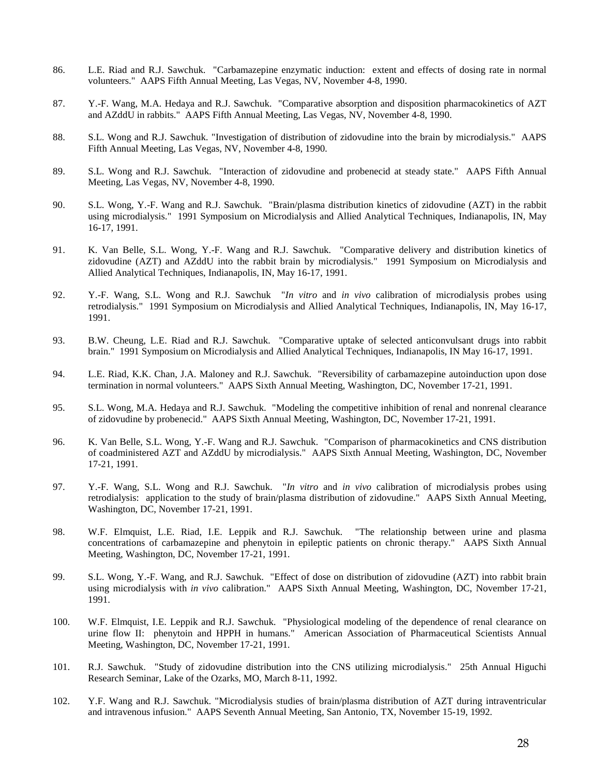- 86. L.E. Riad and R.J. Sawchuk. "Carbamazepine enzymatic induction: extent and effects of dosing rate in normal volunteers." AAPS Fifth Annual Meeting, Las Vegas, NV, November 4-8, 1990.
- 87. Y.-F. Wang, M.A. Hedaya and R.J. Sawchuk. "Comparative absorption and disposition pharmacokinetics of AZT and AZddU in rabbits." AAPS Fifth Annual Meeting, Las Vegas, NV, November 4-8, 1990.
- 88. S.L. Wong and R.J. Sawchuk. "Investigation of distribution of zidovudine into the brain by microdialysis." AAPS Fifth Annual Meeting, Las Vegas, NV, November 4-8, 1990.
- 89. S.L. Wong and R.J. Sawchuk. "Interaction of zidovudine and probenecid at steady state." AAPS Fifth Annual Meeting, Las Vegas, NV, November 4-8, 1990.
- 90. S.L. Wong, Y.-F. Wang and R.J. Sawchuk. "Brain/plasma distribution kinetics of zidovudine (AZT) in the rabbit using microdialysis." 1991 Symposium on Microdialysis and Allied Analytical Techniques, Indianapolis, IN, May 16-17, 1991.
- 91. K. Van Belle, S.L. Wong, Y.-F. Wang and R.J. Sawchuk. "Comparative delivery and distribution kinetics of zidovudine (AZT) and AZddU into the rabbit brain by microdialysis." 1991 Symposium on Microdialysis and Allied Analytical Techniques, Indianapolis, IN, May 16-17, 1991.
- 92. Y.-F. Wang, S.L. Wong and R.J. Sawchuk "*In vitro* and *in vivo* calibration of microdialysis probes using retrodialysis." 1991 Symposium on Microdialysis and Allied Analytical Techniques, Indianapolis, IN, May 16-17, 1991.
- 93. B.W. Cheung, L.E. Riad and R.J. Sawchuk. "Comparative uptake of selected anticonvulsant drugs into rabbit brain." 1991 Symposium on Microdialysis and Allied Analytical Techniques, Indianapolis, IN May 16-17, 1991.
- 94. L.E. Riad, K.K. Chan, J.A. Maloney and R.J. Sawchuk. "Reversibility of carbamazepine autoinduction upon dose termination in normal volunteers." AAPS Sixth Annual Meeting, Washington, DC, November 17-21, 1991.
- 95. S.L. Wong, M.A. Hedaya and R.J. Sawchuk. "Modeling the competitive inhibition of renal and nonrenal clearance of zidovudine by probenecid." AAPS Sixth Annual Meeting, Washington, DC, November 17-21, 1991.
- 96. K. Van Belle, S.L. Wong, Y.-F. Wang and R.J. Sawchuk. "Comparison of pharmacokinetics and CNS distribution of coadministered AZT and AZddU by microdialysis." AAPS Sixth Annual Meeting, Washington, DC, November 17-21, 1991.
- 97. Y.-F. Wang, S.L. Wong and R.J. Sawchuk. "*In vitro* and *in vivo* calibration of microdialysis probes using retrodialysis: application to the study of brain/plasma distribution of zidovudine." AAPS Sixth Annual Meeting, Washington, DC, November 17-21, 1991.
- 98. W.F. Elmquist, L.E. Riad, I.E. Leppik and R.J. Sawchuk. "The relationship between urine and plasma concentrations of carbamazepine and phenytoin in epileptic patients on chronic therapy." AAPS Sixth Annual Meeting, Washington, DC, November 17-21, 1991.
- 99. S.L. Wong, Y.-F. Wang, and R.J. Sawchuk. "Effect of dose on distribution of zidovudine (AZT) into rabbit brain using microdialysis with *in vivo* calibration." AAPS Sixth Annual Meeting, Washington, DC, November 17-21, 1991.
- 100. W.F. Elmquist, I.E. Leppik and R.J. Sawchuk. "Physiological modeling of the dependence of renal clearance on urine flow II: phenytoin and HPPH in humans." American Association of Pharmaceutical Scientists Annual Meeting, Washington, DC, November 17-21, 1991.
- 101. R.J. Sawchuk. "Study of zidovudine distribution into the CNS utilizing microdialysis." 25th Annual Higuchi Research Seminar, Lake of the Ozarks, MO, March 8-11, 1992.
- 102. Y.F. Wang and R.J. Sawchuk. "Microdialysis studies of brain/plasma distribution of AZT during intraventricular and intravenous infusion." AAPS Seventh Annual Meeting, San Antonio, TX, November 15-19, 1992.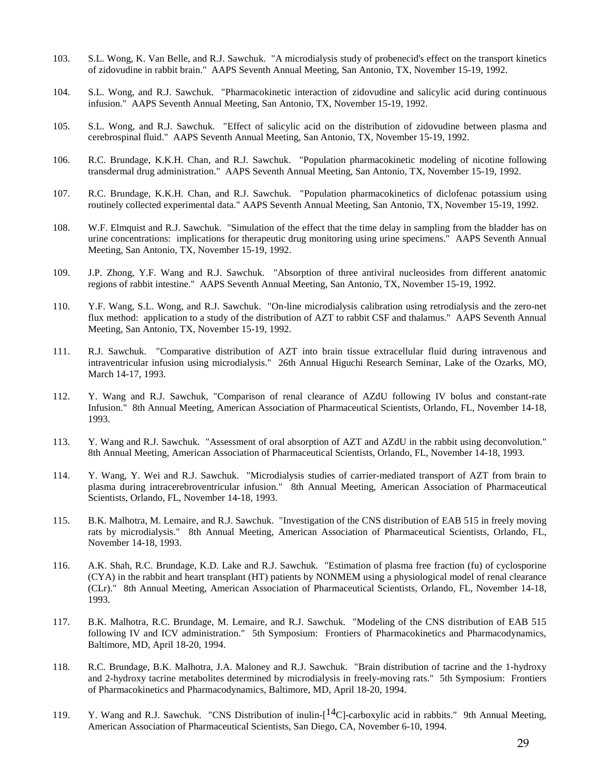- 103. S.L. Wong, K. Van Belle, and R.J. Sawchuk. "A microdialysis study of probenecid's effect on the transport kinetics of zidovudine in rabbit brain." AAPS Seventh Annual Meeting, San Antonio, TX, November 15-19, 1992.
- 104. S.L. Wong, and R.J. Sawchuk. "Pharmacokinetic interaction of zidovudine and salicylic acid during continuous infusion." AAPS Seventh Annual Meeting, San Antonio, TX, November 15-19, 1992.
- 105. S.L. Wong, and R.J. Sawchuk. "Effect of salicylic acid on the distribution of zidovudine between plasma and cerebrospinal fluid." AAPS Seventh Annual Meeting, San Antonio, TX, November 15-19, 1992.
- 106. R.C. Brundage, K.K.H. Chan, and R.J. Sawchuk. "Population pharmacokinetic modeling of nicotine following transdermal drug administration." AAPS Seventh Annual Meeting, San Antonio, TX, November 15-19, 1992.
- 107. R.C. Brundage, K.K.H. Chan, and R.J. Sawchuk. "Population pharmacokinetics of diclofenac potassium using routinely collected experimental data." AAPS Seventh Annual Meeting, San Antonio, TX, November 15-19, 1992.
- 108. W.F. Elmquist and R.J. Sawchuk. "Simulation of the effect that the time delay in sampling from the bladder has on urine concentrations: implications for therapeutic drug monitoring using urine specimens." AAPS Seventh Annual Meeting, San Antonio, TX, November 15-19, 1992.
- 109. J.P. Zhong, Y.F. Wang and R.J. Sawchuk. "Absorption of three antiviral nucleosides from different anatomic regions of rabbit intestine." AAPS Seventh Annual Meeting, San Antonio, TX, November 15-19, 1992.
- 110. Y.F. Wang, S.L. Wong, and R.J. Sawchuk. "On-line microdialysis calibration using retrodialysis and the zero-net flux method: application to a study of the distribution of AZT to rabbit CSF and thalamus." AAPS Seventh Annual Meeting, San Antonio, TX, November 15-19, 1992.
- 111. R.J. Sawchuk. "Comparative distribution of AZT into brain tissue extracellular fluid during intravenous and intraventricular infusion using microdialysis." 26th Annual Higuchi Research Seminar, Lake of the Ozarks, MO, March 14-17, 1993.
- 112. Y. Wang and R.J. Sawchuk, "Comparison of renal clearance of AZdU following IV bolus and constant-rate Infusion." 8th Annual Meeting, American Association of Pharmaceutical Scientists, Orlando, FL, November 14-18, 1993.
- 113. Y. Wang and R.J. Sawchuk. "Assessment of oral absorption of AZT and AZdU in the rabbit using deconvolution." 8th Annual Meeting, American Association of Pharmaceutical Scientists, Orlando, FL, November 14-18, 1993.
- 114. Y. Wang, Y. Wei and R.J. Sawchuk. "Microdialysis studies of carrier-mediated transport of AZT from brain to plasma during intracerebroventricular infusion." 8th Annual Meeting, American Association of Pharmaceutical Scientists, Orlando, FL, November 14-18, 1993.
- 115. B.K. Malhotra, M. Lemaire, and R.J. Sawchuk. "Investigation of the CNS distribution of EAB 515 in freely moving rats by microdialysis." 8th Annual Meeting, American Association of Pharmaceutical Scientists, Orlando, FL, November 14-18, 1993.
- 116. A.K. Shah, R.C. Brundage, K.D. Lake and R.J. Sawchuk. "Estimation of plasma free fraction (fu) of cyclosporine (CYA) in the rabbit and heart transplant (HT) patients by NONMEM using a physiological model of renal clearance (CLr)." 8th Annual Meeting, American Association of Pharmaceutical Scientists, Orlando, FL, November 14-18, 1993.
- 117. B.K. Malhotra, R.C. Brundage, M. Lemaire, and R.J. Sawchuk. "Modeling of the CNS distribution of EAB 515 following IV and ICV administration." 5th Symposium: Frontiers of Pharmacokinetics and Pharmacodynamics, Baltimore, MD, April 18-20, 1994.
- 118. R.C. Brundage, B.K. Malhotra, J.A. Maloney and R.J. Sawchuk. "Brain distribution of tacrine and the 1-hydroxy and 2-hydroxy tacrine metabolites determined by microdialysis in freely-moving rats." 5th Symposium: Frontiers of Pharmacokinetics and Pharmacodynamics, Baltimore, MD, April 18-20, 1994.
- 119. Y. Wang and R.J. Sawchuk. "CNS Distribution of inulin- $[14C]$ -carboxylic acid in rabbits." 9th Annual Meeting, American Association of Pharmaceutical Scientists, San Diego, CA, November 6-10, 1994.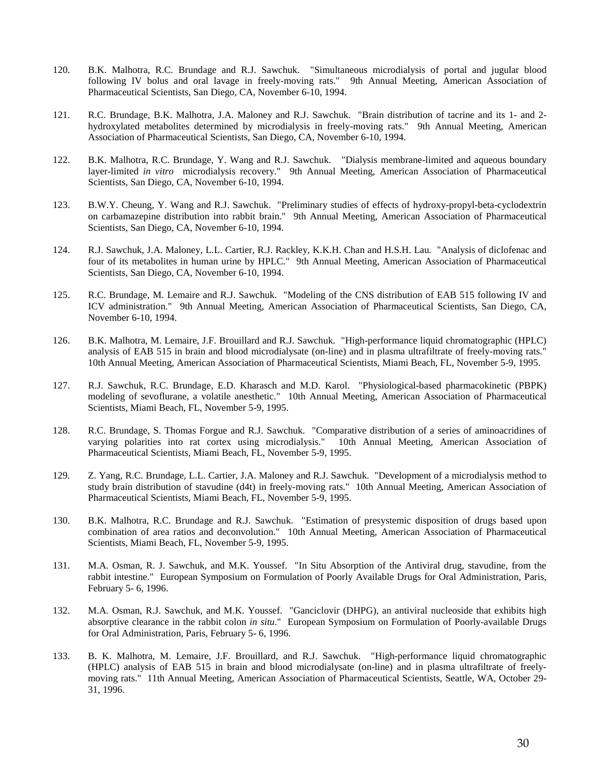- 120. B.K. Malhotra, R.C. Brundage and R.J. Sawchuk. "Simultaneous microdialysis of portal and jugular blood following IV bolus and oral lavage in freely-moving rats." 9th Annual Meeting, American Association of Pharmaceutical Scientists, San Diego, CA, November 6-10, 1994.
- 121. R.C. Brundage, B.K. Malhotra, J.A. Maloney and R.J. Sawchuk. "Brain distribution of tacrine and its 1- and 2 hydroxylated metabolites determined by microdialysis in freely-moving rats." 9th Annual Meeting, American Association of Pharmaceutical Scientists, San Diego, CA, November 6-10, 1994.
- 122. B.K. Malhotra, R.C. Brundage, Y. Wang and R.J. Sawchuk. "Dialysis membrane-limited and aqueous boundary layer-limited *in vitro* microdialysis recovery." 9th Annual Meeting, American Association of Pharmaceutical Scientists, San Diego, CA, November 6-10, 1994.
- 123. B.W.Y. Cheung, Y. Wang and R.J. Sawchuk. "Preliminary studies of effects of hydroxy-propyl-beta-cyclodextrin on carbamazepine distribution into rabbit brain." 9th Annual Meeting, American Association of Pharmaceutical Scientists, San Diego, CA, November 6-10, 1994.
- 124. R.J. Sawchuk, J.A. Maloney, L.L. Cartier, R.J. Rackley, K.K.H. Chan and H.S.H. Lau. "Analysis of diclofenac and four of its metabolites in human urine by HPLC." 9th Annual Meeting, American Association of Pharmaceutical Scientists, San Diego, CA, November 6-10, 1994.
- 125. R.C. Brundage, M. Lemaire and R.J. Sawchuk. "Modeling of the CNS distribution of EAB 515 following IV and ICV administration." 9th Annual Meeting, American Association of Pharmaceutical Scientists, San Diego, CA, November 6-10, 1994.
- 126. B.K. Malhotra, M. Lemaire, J.F. Brouillard and R.J. Sawchuk. "High-performance liquid chromatographic (HPLC) analysis of EAB 515 in brain and blood microdialysate (on-line) and in plasma ultrafiltrate of freely-moving rats." 10th Annual Meeting, American Association of Pharmaceutical Scientists, Miami Beach, FL, November 5-9, 1995.
- 127. R.J. Sawchuk, R.C. Brundage, E.D. Kharasch and M.D. Karol. "Physiological-based pharmacokinetic (PBPK) modeling of sevoflurane, a volatile anesthetic." 10th Annual Meeting, American Association of Pharmaceutical Scientists, Miami Beach, FL, November 5-9, 1995.
- 128. R.C. Brundage, S. Thomas Forgue and R.J. Sawchuk. "Comparative distribution of a series of aminoacridines of varying polarities into rat cortex using microdialysis." 10th Annual Meeting, American Association of varying polarities into rat cortex using microdialysis." Pharmaceutical Scientists, Miami Beach, FL, November 5-9, 1995.
- 129. Z. Yang, R.C. Brundage, L.L. Cartier, J.A. Maloney and R.J. Sawchuk. "Development of a microdialysis method to study brain distribution of stavudine (d4t) in freely-moving rats." 10th Annual Meeting, American Association of Pharmaceutical Scientists, Miami Beach, FL, November 5-9, 1995.
- 130. B.K. Malhotra, R.C. Brundage and R.J. Sawchuk. "Estimation of presystemic disposition of drugs based upon combination of area ratios and deconvolution." 10th Annual Meeting, American Association of Pharmaceutical Scientists, Miami Beach, FL, November 5-9, 1995.
- 131. M.A. Osman, R. J. Sawchuk, and M.K. Youssef. "In Situ Absorption of the Antiviral drug, stavudine, from the rabbit intestine." European Symposium on Formulation of Poorly Available Drugs for Oral Administration, Paris, February 5- 6, 1996.
- 132. M.A. Osman, R.J. Sawchuk, and M.K. Youssef. "Ganciclovir (DHPG), an antiviral nucleoside that exhibits high absorptive clearance in the rabbit colon *in situ*." European Symposium on Formulation of Poorly-available Drugs for Oral Administration, Paris, February 5- 6, 1996.
- 133. B. K. Malhotra, M. Lemaire, J.F. Brouillard, and R.J. Sawchuk. "High-performance liquid chromatographic (HPLC) analysis of EAB 515 in brain and blood microdialysate (on-line) and in plasma ultrafiltrate of freelymoving rats." 11th Annual Meeting, American Association of Pharmaceutical Scientists, Seattle, WA, October 29- 31, 1996.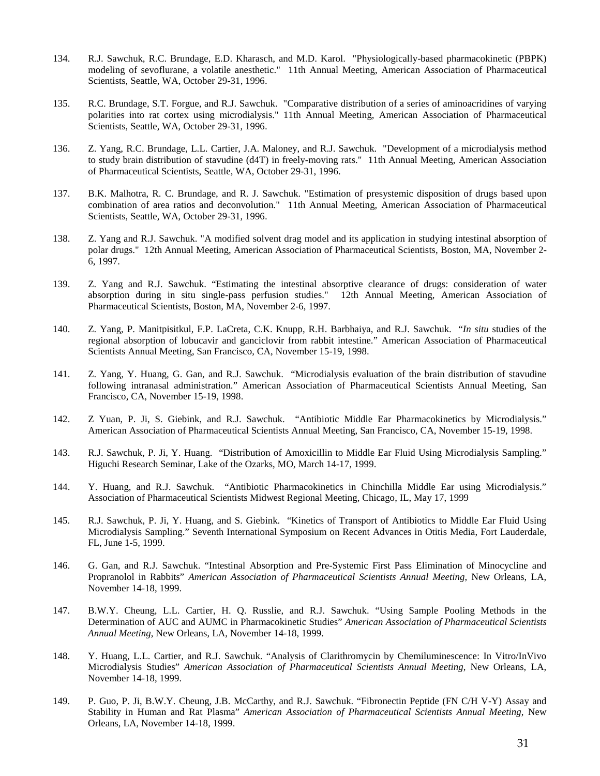- 134. R.J. Sawchuk, R.C. Brundage, E.D. Kharasch, and M.D. Karol. "Physiologically-based pharmacokinetic (PBPK) modeling of sevoflurane, a volatile anesthetic." 11th Annual Meeting, American Association of Pharmaceutical Scientists, Seattle, WA, October 29-31, 1996.
- 135. R.C. Brundage, S.T. Forgue, and R.J. Sawchuk. "Comparative distribution of a series of aminoacridines of varying polarities into rat cortex using microdialysis." 11th Annual Meeting, American Association of Pharmaceutical Scientists, Seattle, WA, October 29-31, 1996.
- 136. Z. Yang, R.C. Brundage, L.L. Cartier, J.A. Maloney, and R.J. Sawchuk. "Development of a microdialysis method to study brain distribution of stavudine (d4T) in freely-moving rats." 11th Annual Meeting, American Association of Pharmaceutical Scientists, Seattle, WA, October 29-31, 1996.
- 137. B.K. Malhotra, R. C. Brundage, and R. J. Sawchuk. "Estimation of presystemic disposition of drugs based upon combination of area ratios and deconvolution." 11th Annual Meeting, American Association of Pharmaceutical Scientists, Seattle, WA, October 29-31, 1996.
- 138. Z. Yang and R.J. Sawchuk. "A modified solvent drag model and its application in studying intestinal absorption of polar drugs." 12th Annual Meeting, American Association of Pharmaceutical Scientists, Boston, MA, November 2- 6, 1997.
- 139. Z. Yang and R.J. Sawchuk. "Estimating the intestinal absorptive clearance of drugs: consideration of water absorption during in situ single-pass perfusion studies." 12th Annual Meeting, American Association of Pharmaceutical Scientists, Boston, MA, November 2-6, 1997.
- 140. Z. Yang, P. Manitpisitkul, F.P. LaCreta, C.K. Knupp, R.H. Barbhaiya, and R.J. Sawchuk. "*In situ* studies of the regional absorption of lobucavir and ganciclovir from rabbit intestine." American Association of Pharmaceutical Scientists Annual Meeting, San Francisco, CA, November 15-19, 1998.
- 141. Z. Yang, Y. Huang, G. Gan, and R.J. Sawchuk. "Microdialysis evaluation of the brain distribution of stavudine following intranasal administration." American Association of Pharmaceutical Scientists Annual Meeting, San Francisco, CA, November 15-19, 1998.
- 142. Z Yuan, P. Ji, S. Giebink, and R.J. Sawchuk. "Antibiotic Middle Ear Pharmacokinetics by Microdialysis." American Association of Pharmaceutical Scientists Annual Meeting, San Francisco, CA, November 15-19, 1998.
- 143. R.J. Sawchuk, P. Ji, Y. Huang. "Distribution of Amoxicillin to Middle Ear Fluid Using Microdialysis Sampling." Higuchi Research Seminar, Lake of the Ozarks, MO, March 14-17, 1999.
- 144. Y. Huang, and R.J. Sawchuk. "Antibiotic Pharmacokinetics in Chinchilla Middle Ear using Microdialysis." Association of Pharmaceutical Scientists Midwest Regional Meeting, Chicago, IL, May 17, 1999
- 145. R.J. Sawchuk, P. Ji, Y. Huang, and S. Giebink. "Kinetics of Transport of Antibiotics to Middle Ear Fluid Using Microdialysis Sampling." Seventh International Symposium on Recent Advances in Otitis Media, Fort Lauderdale, FL, June 1-5, 1999.
- 146. G. Gan, and R.J. Sawchuk. "Intestinal Absorption and Pre-Systemic First Pass Elimination of Minocycline and Propranolol in Rabbits" *American Association of Pharmaceutical Scientists Annual Meeting*, New Orleans, LA, November 14-18, 1999.
- 147. B.W.Y. Cheung, L.L. Cartier, H. Q. Russlie, and R.J. Sawchuk. "Using Sample Pooling Methods in the Determination of AUC and AUMC in Pharmacokinetic Studies" *American Association of Pharmaceutical Scientists Annual Meeting*, New Orleans, LA, November 14-18, 1999.
- 148. Y. Huang, L.L. Cartier, and R.J. Sawchuk. "Analysis of Clarithromycin by Chemiluminescence: In Vitro/InVivo Microdialysis Studies" *American Association of Pharmaceutical Scientists Annual Meeting*, New Orleans, LA, November 14-18, 1999.
- 149. P. Guo, P. Ji, B.W.Y. Cheung, J.B. McCarthy, and R.J. Sawchuk. "Fibronectin Peptide (FN C/H V-Y) Assay and Stability in Human and Rat Plasma" *American Association of Pharmaceutical Scientists Annual Meeting*, New Orleans, LA, November 14-18, 1999.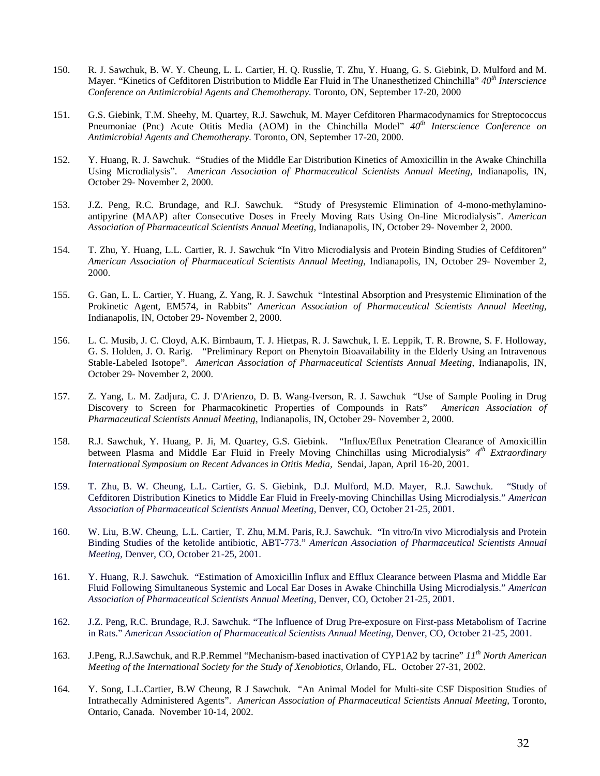- 150. R. J. Sawchuk, B. W. Y. Cheung, L. L. Cartier, H. Q. Russlie, T. Zhu, Y. Huang, G. S. Giebink, D. Mulford and M. Mayer. "Kinetics of Cefditoren Distribution to Middle Ear Fluid in The Unanesthetized Chinchilla" *40th Interscience Conference on Antimicrobial Agents and Chemotherapy.* Toronto, ON, September 17-20, 2000
- 151. G.S. Giebink, T.M. Sheehy, M. Quartey, R.J. Sawchuk, M. Mayer Cefditoren Pharmacodynamics for Streptococcus Pneumoniae (Pnc) Acute Otitis Media (AOM) in the Chinchilla Model" *40th Interscience Conference on Antimicrobial Agents and Chemotherapy.* Toronto, ON, September 17-20, 2000.
- 152. Y. Huang, R. J. Sawchuk. "Studies of the Middle Ear Distribution Kinetics of Amoxicillin in the Awake Chinchilla Using Microdialysis". *American Association of Pharmaceutical Scientists Annual Meeting*, Indianapolis, IN, October 29- November 2, 2000.
- 153. J.Z. Peng, R.C. Brundage, and R.J. Sawchuk. "Study of Presystemic Elimination of 4-mono-methylaminoantipyrine (MAAP) after Consecutive Doses in Freely Moving Rats Using On-line Microdialysis". *American Association of Pharmaceutical Scientists Annual Meeting*, Indianapolis, IN, October 29- November 2, 2000.
- 154. T. Zhu, Y. Huang, L.L. Cartier, R. J. Sawchuk "In Vitro Microdialysis and Protein Binding Studies of Cefditoren" *American Association of Pharmaceutical Scientists Annual Meeting*, Indianapolis, IN, October 29- November 2, 2000.
- 155. G. Gan, L. L. Cartier, Y. Huang, Z. Yang, R. J. Sawchuk "Intestinal Absorption and Presystemic Elimination of the Prokinetic Agent, EM574, in Rabbits" *American Association of Pharmaceutical Scientists Annual Meeting*, Indianapolis, IN, October 29- November 2, 2000.
- 156. L. C. Musib, J. C. Cloyd, A.K. Birnbaum, T. J. Hietpas, R. J. Sawchuk, I. E. Leppik, T. R. Browne, S. F. Holloway, G. S. Holden, J. O. Rarig. "Preliminary Report on Phenytoin Bioavailability in the Elderly Using an Intravenous Stable-Labeled Isotope". *American Association of Pharmaceutical Scientists Annual Meeting*, Indianapolis, IN, October 29- November 2, 2000.
- 157. Z. Yang, L. M. Zadjura, C. J. D'Arienzo, D. B. Wang-Iverson, R. J. Sawchuk "Use of Sample Pooling in Drug Discovery to Screen for Pharmacokinetic Properties of Compounds in Rats" *American Association of Pharmaceutical Scientists Annual Meeting*, Indianapolis, IN, October 29- November 2, 2000.
- 158. R.J. Sawchuk, Y. Huang, P. Ji, M. Quartey, G.S. Giebink. "Influx/Eflux Penetration Clearance of Amoxicillin between Plasma and Middle Ear Fluid in Freely Moving Chinchillas using Microdialysis" *4th Extraordinary International Symposium on Recent Advances in Otitis Media,* Sendai, Japan, April 16-20, 2001.
- 159. T. Zhu, B. W. Cheung, L.L. Cartier, G. S. Giebink, D.J. Mulford, M.D. Mayer, R.J. Sawchuk. "Study of Cefditoren Distribution Kinetics to Middle Ear Fluid in Freely-moving Chinchillas Using Microdialysis." *American Association of Pharmaceutical Scientists Annual Meeting*, Denver, CO, October 21-25, 2001.
- 160. W. Liu, B.W. Cheung, L.L. Cartier, T. Zhu, M.M. Paris, R.J. Sawchuk. "In vitro/In vivo Microdialysis and Protein Binding Studies of the ketolide antibiotic, ABT-773." *American Association of Pharmaceutical Scientists Annual Meeting*, Denver, CO, October 21-25, 2001.
- 161. Y. Huang, R.J. Sawchuk. "Estimation of Amoxicillin Influx and Efflux Clearance between Plasma and Middle Ear Fluid Following Simultaneous Systemic and Local Ear Doses in Awake Chinchilla Using Microdialysis." *American Association of Pharmaceutical Scientists Annual Meeting*, Denver, CO, October 21-25, 2001.
- 162. J.Z. Peng, R.C. Brundage, R.J. Sawchuk. "The Influence of Drug Pre-exposure on First-pass Metabolism of Tacrine in Rats." *American Association of Pharmaceutical Scientists Annual Meeting*, Denver, CO, October 21-25, 2001.
- 163. J.Peng, R.J.Sawchuk, and R.P.Remmel "Mechanism-based inactivation of CYP1A2 by tacrine" *11th North American Meeting of the International Society for the Study of Xenobiotics*, Orlando, FL. October 27-31, 2002.
- 164. Y. Song, L.L.Cartier, B.W Cheung, R J Sawchuk. "An Animal Model for Multi-site CSF Disposition Studies of Intrathecally Administered Agents". *American Association of Pharmaceutical Scientists Annual Meeting*, Toronto, Ontario, Canada. November 10-14, 2002.